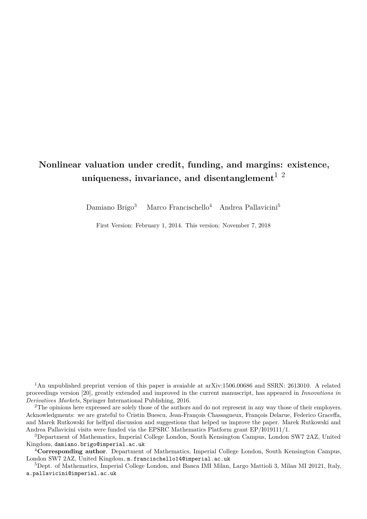## **Nonlinear valuation under credit, funding, and margins: existence, uniqueness, invariance, and disentanglement**1 2

Damiano Brigo<sup>3</sup> Marco Francischello<sup>4</sup> Andrea Pallavicini<sup>5</sup>

First Version: February 1, 2014. This version: November 7, 2018

<sup>1</sup>An unpublished preprint version of this paper is avaiable at arXiv:1506.00686 and SSRN: 2613010. A related proceedings version [\[20\]](#page-31-0), greatly extended and improved in the current manuscript, has appeared in *Innovations in Derivatives Markets*, Springer International Publishing, 2016.

<sup>2</sup>The opinions here expressed are solely those of the authors and do not represent in any way those of their employers. Acknowledgments: we are grateful to Cristin Buescu, Jean-François Chassagneux, François Delarue, Federico Graceffa, and Marek Rutkowski for helfpul discussion and suggestions that helped us improve the paper. Marek Rutkowski and Andrea Pallavicini visits were funded via the EPSRC Mathematics Platform grant EP/I019111/1.

<sup>3</sup>Department of Mathematics, Imperial College London, South Kensington Campus, London SW7 2AZ, United Kingdom, damiano.brigo@imperial.ac.uk

<sup>4</sup>**Corresponding author**. Department of Mathematics, Imperial College London, South Kensington Campus, London SW7 2AZ, United Kingdom, m.francischello14@imperial.ac.uk

<sup>5</sup>Dept. of Mathematics, Imperial College London, and Banca IMI Milan, Largo Mattioli 3, Milan MI 20121, Italy, a.pallavicini@imperial.ac.uk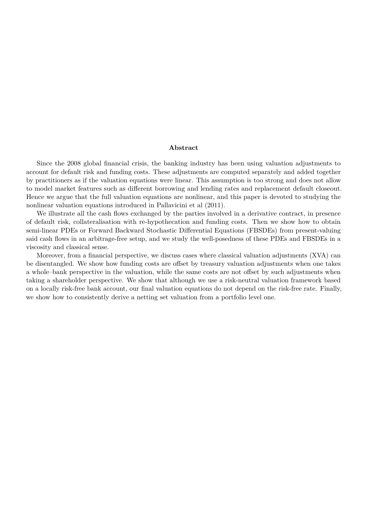#### **Abstract**

Since the 2008 global financial crisis, the banking industry has been using valuation adjustments to account for default risk and funding costs. These adjustments are computed separately and added together by practitioners as if the valuation equations were linear. This assumption is too strong and does not allow to model market features such as different borrowing and lending rates and replacement default closeout. Hence we argue that the full valuation equations are nonlinear, and this paper is devoted to studying the nonlinear valuation equations introduced in Pallavicini et al (2011).

We illustrate all the cash flows exchanged by the parties involved in a derivative contract, in presence of default risk, collateralisation with re-hypothecation and funding costs. Then we show how to obtain semi-linear PDEs or Forward Backward Stochastic Differential Equations (FBSDEs) from present-valuing said cash flows in an arbitrage-free setup, and we study the well-posedness of these PDEs and FBSDEs in a viscosity and classical sense.

Moreover, from a financial perspective, we discuss cases where classical valuation adjustments (XVA) can be disentangled. We show how funding costs are offset by treasury valuation adjustments when one takes a whole–bank perspective in the valuation, while the same costs are not offset by such adjustments when taking a shareholder perspective. We show that although we use a risk-neutral valuation framework based on a locally risk-free bank account, our final valuation equations do not depend on the risk-free rate. Finally, we show how to consistently derive a netting set valuation from a portfolio level one.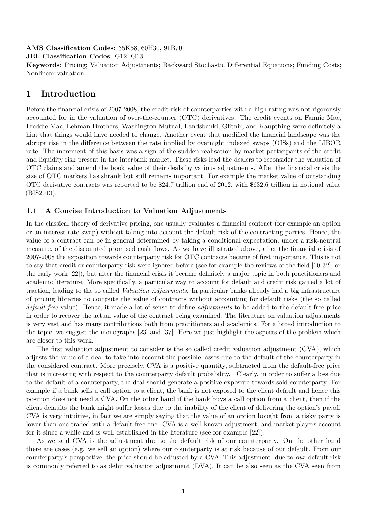**AMS Classification Codes**: 35K58, 60H30, 91B70

**JEL Classification Codes**: G12, G13

**Keywords**: Pricing; Valuation Adjustments; Backward Stochastic Differential Equations; Funding Costs; Nonlinear valuation.

## **1 Introduction**

Before the financial crisis of 2007-2008, the credit risk of counterparties with a high rating was not rigorously accounted for in the valuation of over-the-counter (OTC) derivatives. The credit events on Fannie Mae, Freddie Mac, Lehman Brothers, Washington Mutual, Landsbanki, Glitnir, and Kaupthing were definitely a hint that things would have needed to change. Another event that modified the financial landscape was the abrupt rise in the difference between the rate implied by overnight indexed swaps (OISs) and the LIBOR rate. The increment of this basis was a sign of the sudden realisation by market participants of the credit and liquidity risk present in the interbank market. These risks lead the dealers to reconsider the valuation of OTC claims and amend the book value of their deals by various adjustments. After the financial crisis the size of OTC markets has shrank but still remains important. For example the market value of outstanding OTC derivative contracts was reported to be \$24.7 trillion end of 2012, with \$632.6 trillion in notional value (BIS2013).

## <span id="page-2-0"></span>**1.1 A Concise Introduction to Valuation Adjustments**

In the classical theory of derivative pricing, one usually evaluates a financial contract (for example an option or an interest rate swap) without taking into account the default risk of the contracting parties. Hence, the value of a contract can be in general determined by taking a conditional expectation, under a risk-neutral measure, of the discounted promised cash flows. As we have illustrated above, after the financial crisis of 2007-2008 the exposition towards counterparty risk for OTC contracts became of first importance. This is not to say that credit or counterparty risk were ignored before (see for example the reviews of the field [\[10,](#page-30-0) [32\]](#page-31-1), or the early work [\[22\]](#page-31-2)), but after the financial crisis it became definitely a major topic in both practitioners and academic literature. More specifically, a particular way to account for default and credit risk gained a lot of traction, leading to the so called *Valuation Adjustments*. In particular banks already had a big infrastructure of pricing libraries to compute the value of contracts without accounting for default risks (the so called *default-free* value). Hence, it made a lot of sense to define *adjustments* to be added to the default-free price in order to recover the actual value of the contract being examined. The literature on valuation adjustments is very vast and has many contributions both from practitioners and academics. For a broad introduction to the topic, we suggest the monographs [\[23\]](#page-31-3) and [\[37\]](#page-32-0). Here we just highlight the aspects of the problem which are closer to this work.

The first valuation adjustment to consider is the so called credit valuation adjustment (CVA), which adjusts the value of a deal to take into account the possible losses due to the default of the counterparty in the considered contract. More precisely, CVA is a positive quantity, subtracted from the default-free price that is increasing with respect to the counterparty default probability. Clearly, in order to suffer a loss due to the default of a counterparty, the deal should generate a positive exposure towards said counterparty. For example if a bank sells a call option to a client, the bank is not exposed to the client default and hence this position does not need a CVA. On the other hand if the bank buys a call option from a client, then if the client defaults the bank might suffer losses due to the inability of the client of delivering the option's payoff. CVA is very intuitive, in fact we are simply saying that the value of an option bought from a risky party is lower than one traded with a default free one. CVA is a well known adjustment, and market players account for it since a while and is well established in the literature (see for example [\[22\]](#page-31-2)).

As we said CVA is the adjustment due to the default risk of our counterparty. On the other hand there are cases (e.g. we sell an option) where our counterparty is at risk because of our default. From our counterparty's perspective, the price should be adjusted by a CVA. This adjustment, due to *our* default risk is commonly referred to as debit valuation adjustment (DVA). It can be also seen as the CVA seen from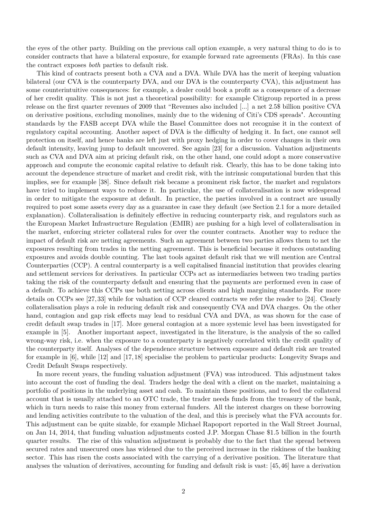the eyes of the other party. Building on the previous call option example, a very natural thing to do is to consider contracts that have a bilateral exposure, for example forward rate agreements (FRAs). In this case the contract exposes *both* parties to default risk.

This kind of contracts present both a CVA and a DVA. While DVA has the merit of keeping valuation bilateral (our CVA is the counterparty DVA, and our DVA is the counterparty CVA), this adjustment has some counterintuitive consequences: for example, a dealer could book a profit as a consequence of a decrease of her credit quality. This is not just a theoretical possibility: for example Citigroup reported in a press release on the first quarter revenues of 2009 that "Revenues also included [...] a net 2.5\$ billion positive CVA on derivative positions, excluding monolines, mainly due to the widening of Citi's CDS spreads". Accounting standards by the FASB accept DVA while the Basel Committee does not recognise it in the context of regulatory capital accounting. Another aspect of DVA is the difficulty of hedging it. In fact, one cannot sell protection on itself, and hence banks are left just with proxy hedging in order to cover changes in their own default intensity, leaving jump to default uncovered. See again [\[23\]](#page-31-3) for a discussion. Valuation adjustments such as CVA and DVA aim at pricing default risk, on the other hand, one could adopt a more conservative approach and compute the economic capital relative to default risk. Clearly, this has to be done taking into account the dependence structure of market and credit risk, with the intrinsic computational burden that this implies, see for example [\[38\]](#page-32-1). Since default risk became a prominent risk factor, the market and regulators have tried to implement ways to reduce it. In particular, the use of collateralisation is now widespread in order to mitigate the exposure at default. In practice, the parties involved in a contract are usually required to post some assets every day as a guarantee in case they default (see Section [2.1](#page-5-0) for a more detailed explanation). Collateralisation is definitely effective in reducing counterparty risk, and regulators such as the European Market Infrastructure Regulation (EMIR) are pushing for a high level of collateralisation in the market, enforcing stricter collateral rules for over the counter contracts. Another way to reduce the impact of default risk are netting agreements. Such an agreement between two parties allows them to net the exposures resulting from trades in the netting agreement. This is beneficial because it reduces outstanding exposures and avoids double counting. The last tools against default risk that we will mention are Central Counterparties (CCP). A central counterparty is a well capitalised financial institution that provides clearing and settlement services for derivatives. In particular CCPs act as intermediaries between two trading parties taking the risk of the counterparty default and ensuring that the payments are performed even in case of a default. To achieve this CCPs use both netting across clients and high margining standards. For more details on CCPs see [\[27,](#page-31-4) [33\]](#page-31-5) while for valuation of CCP cleared contracts we refer the reader to [\[24\]](#page-31-6). Clearly collateralisation plays a role in reducing default risk and consequently CVA and DVA charges. On the other hand, contagion and gap risk effects may lead to residual CVA and DVA, as was shown for the case of credit default swap trades in [\[17\]](#page-31-7). More general contagion at a more systemic level has been investigated for example in [\[5\]](#page-30-1). Another important aspect, investigated in the literature, is the analysis of the so called wrong-way risk, i.e. when the exposure to a counterparty is negatively correlated with the credit quality of the counterparty itself. Analyses of the dependence structure between exposure and default risk are treated for example in [\[6\]](#page-30-2), while [\[12\]](#page-30-3) and [\[17,](#page-31-7) [18\]](#page-31-8) specialise the problem to particular products: Longevity Swaps and Credit Default Swaps respectively.

In more recent years, the funding valuation adjustment (FVA) was introduced. This adjustment takes into account the cost of funding the deal. Traders hedge the deal with a client on the market, maintaining a portfolio of positions in the underlying asset and cash. To maintain these positions, and to feed the collateral account that is usually attached to an OTC trade, the trader needs funds from the treasury of the bank, which in turn needs to raise this money from external funders. All the interest charges on these borrowing and lending activities contribute to the valuation of the deal, and this is precisely what the FVA accounts for. This adjustment can be quite sizable, for example Michael Rapoport reported in the Wall Street Journal, on Jan 14, 2014, that funding valuation adjustments costed J.P. Morgan Chase \$1.5 billion in the fourth quarter results. The rise of this valuation adjustment is probably due to the fact that the spread between secured rates and unsecured ones has widened due to the perceived increase in the riskiness of the banking sector. This has risen the costs associated with the carrying of a derivative position. The literature that analyses the valuation of derivatives, accounting for funding and default risk is vast: [\[45,](#page-32-2) [46\]](#page-32-3) have a derivation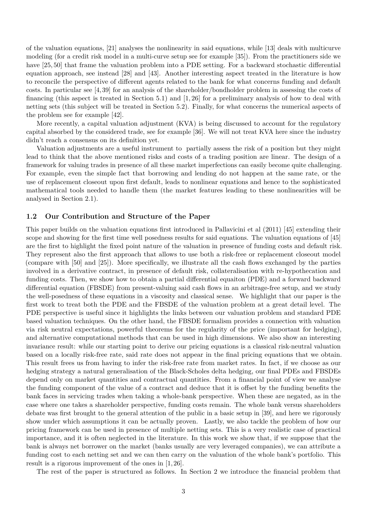of the valuation equations, [\[21\]](#page-31-9) analyses the nonlinearity in said equations, while [\[13\]](#page-30-4) deals with multicurve modeling (for a credit risk model in a multi-curve setup see for example [\[35\]](#page-32-4)). From the practitioners side we have [\[25,](#page-31-10) [50\]](#page-32-5) that frame the valuation problem into a PDE setting. For a backward stochastic differential equation approach, see instead [\[28\]](#page-31-11) and [\[43\]](#page-32-6). Another interesting aspect treated in the literature is how to reconcile the perspective of different agents related to the bank for what concerns funding and default costs. In particular see [\[4,](#page-30-5) [39\]](#page-32-7) for an analysis of the shareholder/bondholder problem in assessing the costs of financing (this aspect is treated in Section [5.1\)](#page-17-0) and [\[1,](#page-30-6) [26\]](#page-31-12) for a preliminary analysis of how to deal with netting sets (this subject will be treated in Section [5.2\)](#page-18-0). Finally, for what concerns the numerical aspects of the problem see for example [\[42\]](#page-32-8).

More recently, a capital valuation adjustment (KVA) is being discussed to account for the regulatory capital absorbed by the considered trade, see for example [\[36\]](#page-32-9). We will not treat KVA here since the industry didn't reach a consensus on its definition yet.

Valuation adjustments are a useful instrument to partially assess the risk of a position but they might lead to think that the above mentioned risks and costs of a trading position are linear. The design of a framework for valuing trades in presence of all these market imperfections can easily become quite challenging. For example, even the simple fact that borrowing and lending do not happen at the same rate, or the use of replacement closeout upon first default, leads to nonlinear equations and hence to the sophisticated mathematical tools needed to handle them (the market features leading to these nonlinearities will be analysed in Section [2.1\)](#page-5-0).

#### **1.2 Our Contribution and Structure of the Paper**

This paper builds on the valuation equations first introduced in Pallavicini et al (2011) [\[45\]](#page-32-2) extending their scope and showing for the first time well posedness results for said equations. The valuation equations of [\[45\]](#page-32-2) are the first to highlight the fixed point nature of the valuation in presence of funding costs and default risk. They represent also the first approach that allows to use both a risk-free or replacement closeout model (compare with [\[50\]](#page-32-5) and [\[25\]](#page-31-10)). More specifically, we illustrate all the cash flows exchanged by the parties involved in a derivative contract, in presence of default risk, collateralisation with re-hypothecation and funding costs. Then, we show how to obtain a partial differential equaiton (PDE) and a forward backward differential equation (FBSDE) from present-valuing said cash flows in an arbitrage-free setup, and we study the well-posedness of these equations in a viscosity and classical sense. We highlight that our paper is the first work to treat both the PDE and the FBSDE of the valuation problem at a great detail level. The PDE perspective is useful since it highlights the links between our valuation problem and standard PDE based valuation techniques. On the other hand, the FBSDE formalism provides a connection with valuation via risk neutral expectations, powerful theorems for the regularity of the price (important for hedging), and alternative computational methods that can be used in high dimensions. We also show an interesting invariance result: while our starting point to derive our pricing equations is a classical risk-neutral valuation based on a locally risk-free rate, said rate does not appear in the final pricing equations that we obtain. This result frees us from having to infer the risk-free rate from market rates. In fact, if we choose as our hedging strategy a natural generalisation of the Black-Scholes delta hedging, our final PDEs and FBSDEs depend only on market quantities and contractual quantities. From a financial point of view we analyse the funding component of the value of a contract and deduce that it is offset by the funding benefits the bank faces in servicing trades when taking a whole-bank perspective. When these are negated, as in the case where one takes a shareholder perspective, funding costs remain. The whole bank versus shareholders debate was first brought to the general attention of the public in a basic setup in [\[39\]](#page-32-7), and here we rigorously show under which assumptions it can be actually proven. Lastly, we also tackle the problem of how our pricing framework can be used in presence of multiple netting sets. This is a very realistic case of practical importance, and it is often neglected in the literature. In this work we show that, if we suppose that the bank is always net borrower on the market (banks usually are very leveraged companies), we can attribute a funding cost to each netting set and we can then carry on the valuation of the whole bank's portfolio. This result is a rigorous improvement of the ones in [\[1,](#page-30-6) [26\]](#page-31-12).

The rest of the paper is structured as follows. In Section [2](#page-5-1) we introduce the financial problem that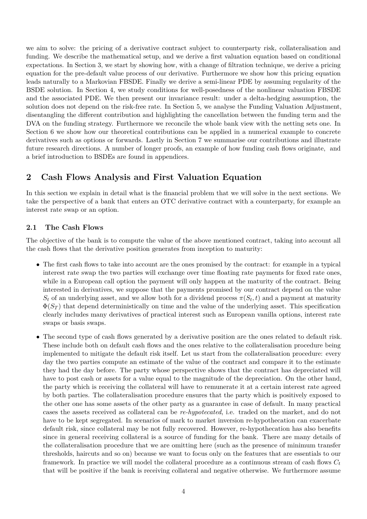we aim to solve: the pricing of a derivative contract subject to counterparty risk, collateralisation and funding. We describe the mathematical setup, and we derive a first valuation equation based on conditional expectations. In Section [3,](#page-9-0) we start by showing how, with a change of filtration technique, we derive a pricing equation for the pre-default value process of our derivative. Furthermore we show how this pricing equation leads naturally to a Markovian FBSDE. Finally we derive a semi-linear PDE by assuming regularity of the BSDE solution. In Section [4,](#page-13-0) we study conditions for well-posedness of the nonlinear valuation FBSDE and the associated PDE. We then present our invariance result: under a delta-hedging assumption, the solution does not depend on the risk-free rate. In Section [5,](#page-16-0) we analyse the Funding Valuation Adjustment, disentangling the different contribution and highlighting the cancellation between the funding term and the DVA on the funding strategy. Furthermore we reconcile the whole bank view with the netting sets one. In Section [6](#page-21-0) we show how our theoretical contributions can be applied in a numerical example to concrete derivatives such as options or forwards. Lastly in Section [7](#page-24-0) we summarise our contributions and illustrate future research directions. A number of longer proofs, an example of how funding cash flows originate, and a brief introduction to BSDEs are found in appendices.

## <span id="page-5-1"></span>**2 Cash Flows Analysis and First Valuation Equation**

In this section we explain in detail what is the financial problem that we will solve in the next sections. We take the perspective of a bank that enters an OTC derivative contract with a counterparty, for example an interest rate swap or an option.

## <span id="page-5-0"></span>**2.1 The Cash Flows**

The objective of the bank is to compute the value of the above mentioned contract, taking into account all the cash flows that the derivative position generates from inception to maturity:

- The first cash flows to take into account are the ones promised by the contract: for example in a typical interest rate swap the two parties will exchange over time floating rate payments for fixed rate ones, while in a European call option the payment will only happen at the maturity of the contract. Being interested in derivatives, we suppose that the payments promised by our contract depend on the value  $S_t$  of an underlying asset, and we allow both for a dividend process  $\pi(S_t, t)$  and a payment at maturity  $\Phi(S_T)$  that depend deterministically on time and the value of the underlying asset. This specification clearly includes many derivatives of practical interest such as European vanilla options, interest rate swaps or basis swaps.
- The second type of cash flows generated by a derivative position are the ones related to default risk. These include both on default cash flows and the ones relative to the collateralisation procedure being implemented to mitigate the default risk itself. Let us start from the collateralisation procedure: every day the two parties compute an estimate of the value of the contract and compare it to the estimate they had the day before. The party whose perspective shows that the contract has depreciated will have to post cash or assets for a value equal to the magnitude of the depreciation. On the other hand, the party which is receiving the collateral will have to remunerate it at a certain interest rate agreed by both parties. The collateralisation procedure ensures that the party which is positively exposed to the other one has some assets of the other party as a guarantee in case of default. In many practical cases the assets received as collateral can be *re-hypotecated*, i.e. traded on the market, and do not have to be kept segregated. In scenarios of mark to market inversion re-hypothecation can exacerbate default risk, since collateral may be not fully recovered. However, re-hypothecation has also benefits since in general receiving collateral is a source of funding for the bank. There are many details of the collateralisation procedure that we are omitting here (such as the presence of minimum transfer thresholds, haircuts and so on) because we want to focus only on the features that are essentials to our framework. In practice we will model the collateral procedure as a continuous stream of cash flows *C<sup>t</sup>* that will be positive if the bank is receiving collateral and negative otherwise. We furthermore assume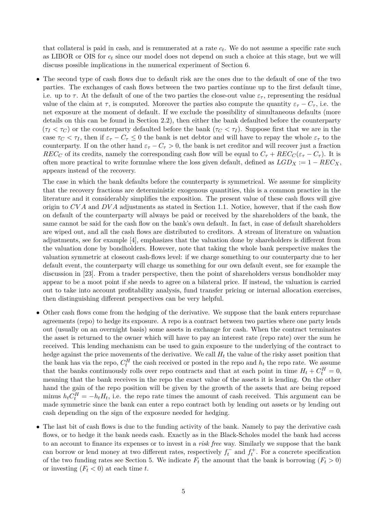that collateral is paid in cash, and is remunerated at a rate *c<sup>t</sup>* . We do not assume a specific rate such as LIBOR or OIS for *c<sup>t</sup>* since our model does not depend on such a choice at this stage, but we will discuss possible implications in the numerical experiment of Section [6.](#page-21-0)

• The second type of cash flows due to default risk are the ones due to the default of one of the two parties. The exchanges of cash flows between the two parties continue up to the first default time, i.e. up to  $\tau$ . At the default of one of the two parties the close-out value  $\varepsilon_{\tau}$ , representing the residual value of the claim at  $\tau$ , is computed. Moreover the parties also compute the quantity  $\varepsilon_{\tau} - C_{\tau}$ , i.e. the net exposure at the moment of default. If we exclude the possibility of simultaneous defaults (more details on this can be found in Section [2.2\)](#page-7-0), then either the bank defaulted before the counterparty  $(\tau_I < \tau_C)$  or the counterparty defaulted before the bank  $(\tau_C < \tau_I)$ . Suppose first that we are in the case  $\tau_C < \tau_I$ , then if  $\varepsilon_{\tau} - C_{\tau} \leq 0$  the bank is net debtor and will have to repay the whole  $\varepsilon_{\tau}$  to the counterparty. If on the other hand  $\varepsilon_{\tau} - C_{\tau} > 0$ , the bank is net creditor and will recover just a fraction *REC<sub>C</sub>* of its credits, namely the corresponding cash flow will be equal to  $C_{\tau} + REC_C(\varepsilon_{\tau} - C_{\tau})$ . It is often more practical to write formulae where the loss given default, defined as  $LGD_X := 1 - REC_X$ , appears instead of the recovery.

The case in which the bank defaults before the counterparty is symmetrical. We assume for simplicity that the recovery fractions are deterministic exogenous quantities, this is a common practice in the literature and it considerably simplifies the exposition. The present value of these cash flows will give origin to *CV A* and *DV A* adjustments as stated in Section [1.1.](#page-2-0) Notice, however, that if the cash flow on default of the counterparty will always be paid or received by the shareholders of the bank, the same cannot be said for the cash flow on the bank's own default. In fact, in case of default shareholders are wiped out, and all the cash flows are distributed to creditors. A stream of literature on valuation adjustments, see for example [\[4\]](#page-30-5), emphasizes that the valuation done by shareholders is different from the valuation done by bondholders. However, note that taking the whole bank perspective makes the valuation symmetric at closeout cash-flows level: if we charge something to our counterparty due to her default event, the counterparty will charge us something for our own default event, see for example the discussion in [\[23\]](#page-31-3). From a trader perspective, then the point of shareholders versus bondholder may appear to be a moot point if she needs to agree on a bilateral price. If instead, the valuation is carried out to take into account profitability analysis, fund transfer pricing or internal allocation exercises, then distinguishing different perspectives can be very helpful.

- Other cash flows come from the hedging of the derivative. We suppose that the bank enters repurchase agreements (repo) to hedge its exposure. A repo is a contract between two parties where one party lends out (usually on an overnight basis) some assets in exchange for cash. When the contract terminates the asset is returned to the owner which will have to pay an interest rate (repo rate) over the sum he received. This lending mechanism can be used to gain exposure to the underlying of the contract to hedge against the price movements of the derivative. We call  $H_t$  the value of the risky asset position that the bank has via the repo,  $C_t^H$  the cash received or posted in the repo and  $h_t$  the repo rate. We assume that the banks continuously rolls over repo contracts and that at each point in time  $H_t + C_t^H = 0$ , meaning that the bank receives in the repo the exact value of the assets it is lending. On the other hand the gain of the repo position will be given by the growth of the assets that are being repoed minus  $h_t C_t^H = -h_t H_t$ , i.e. the repo rate times the amount of cash received. This argument can be made symmetric since the bank can enter a repo contract both by lending out assets or by lending out cash depending on the sign of the exposure needed for hedging.
- The last bit of cash flows is due to the funding activity of the bank. Namely to pay the derivative cash flows, or to hedge it the bank needs cash. Exactly as in the Black-Scholes model the bank had access to an account to finance its expenses or to invest in a *risk free* way. Similarly we suppose that the bank can borrow or lend money at two different rates, respectively  $f_t^-$  and  $f_t^+$ . For a concrete specification of the two funding rates see Section [5.](#page-16-0) We indicate  $F_t$  the amount that the bank is borrowing  $(F_t > 0)$ or investing  $(F_t < 0)$  at each time *t*.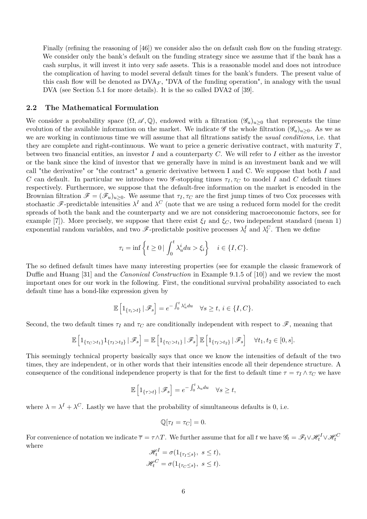Finally (refining the reasoning of [\[46\]](#page-32-3)) we consider also the on default cash flow on the funding strategy. We consider only the bank's default on the funding strategy since we assume that if the bank has a cash surplus, it will invest it into very safe assets. This is a reasonable model and does not introduce the complication of having to model several default times for the bank's funders. The present value of this cash flow will be denoted as  $\text{DVA}_F$ , "DVA of the funding operation", in analogy with the usual DVA (see Section [5.1](#page-17-0) for more details). It is the so called DVA2 of [\[39\]](#page-32-7).

#### <span id="page-7-0"></span>**2.2 The Mathematical Formulation**

We consider a probability space  $(\Omega, \mathscr{A}, \mathbb{Q})$ , endowed with a filtration  $(\mathscr{G}_u)_{u\geq 0}$  that represents the time evolution of the available information on the market. We indicate  $\mathscr G$  the whole filtration  $(\mathscr G_u)_{u>0}$ . As we as we are working in continuous time we will assume that all filtrations satisfy the *usual conditions*, i.e. that they are complete and right-continuous. We want to price a generic derivative contract, with maturity *T*, between two financial entities, an investor *I* and a counterparty *C*. We will refer to *I* either as the investor or the bank since the kind of investor that we generally have in mind is an investment bank and we will call "the derivative" or "the contract" a generic derivative between I and C. We suppose that both *I* and *C* can default. In particular we introduce two  $\mathscr{G}$ -stopping times  $\tau_I, \tau_C$  to model *I* and *C* default times respectively. Furthermore, we suppose that the default-free information on the market is encoded in the Brownian filtration  $\mathscr{F} = (\mathscr{F}_u)_{u>0}$ . We assume that  $\tau_I, \tau_C$  are the first jump times of two Cox processes with stochastic  $\mathscr F$ -predictable intensities  $\lambda^I$  and  $\lambda^C$  (note that we are using a reduced form model for the credit spreads of both the bank and the counterparty and we are not considering macroeconomic factors, see for example [\[7\]](#page-30-7)). More precisely, we suppose that there exist  $\xi_I$  and  $\xi_C$ , two independent standard (mean 1) exponential random variables, and two  $\mathscr{F}\text{-predictable positive processes } \lambda_t^I$  and  $\lambda_t^C$ . Then we define

$$
\tau_i = \inf \left\{ t \ge 0 \mid \int_0^t \lambda_u^i du > \xi_i \right\} \quad i \in \{I, C\}.
$$

The so defined default times have many interesting properties (see for example the classic framework of Duffie and Huang [\[31\]](#page-31-13) and the *Canonical Construction* in Example 9.1.5 of [\[10\]](#page-30-0)) and we review the most important ones for our work in the following. First, the conditional survival probability associated to each default time has a bond-like expression given by

$$
\mathbb{E}\left[1_{\{\tau_i>t\}}\,|\,\mathscr{F}_s\right] = e^{-\int_0^t \lambda_u^i du} \quad \forall s \ge t, \, i \in \{I, C\}.
$$

Second, the two default times  $\tau_I$  and  $\tau_C$  are conditionally independent with respect to  $\mathscr{F}$ , meaning that

$$
\mathbb{E}\left[\mathbb{1}_{\{\tau_C>t_1\}}\mathbb{1}_{\{\tau_I>t_2\}}\,|\,\mathscr{F}_s\right]=\mathbb{E}\left[\mathbb{1}_{\{\tau_C>t_1\}}\,|\,\mathscr{F}_s\right]\mathbb{E}\left[\mathbb{1}_{\{\tau_I>t_2\}}\,|\,\mathscr{F}_s\right] \quad \forall t_1,t_2\in[0,s].
$$

This seemingly technical property basically says that once we know the intensities of default of the two times, they are independent, or in other words that their intensities encode all their dependence structure. A consequence of the conditional independence property is that for the first to default time  $\tau = \tau_I \wedge \tau_C$  we have

$$
\mathbb{E}\left[1_{\{\tau>t\}}\,|\,\mathscr{F}_s\right] = e^{-\int_0^t \lambda_u du} \quad \forall s \ge t,
$$

where  $\lambda = \lambda^I + \lambda^C$ . Lastly we have that the probability of simultaneous defaults is 0, i.e.

$$
\mathbb{Q}[\tau_I = \tau_C] = 0.
$$

For convenience of notation we indicate  $\overline{\tau} = \tau \wedge T$ . We further assume that for all *t* we have  $\mathscr{G}_t = \mathscr{F}_t \vee \mathscr{H}_t^I \vee \mathscr{H}_t^C$ where

$$
\mathcal{H}_t^I = \sigma(1_{\{\tau_I \le s\}}, \ s \le t),
$$
  

$$
\mathcal{H}_t^C = \sigma(1_{\{\tau_C \le s\}}, \ s \le t).
$$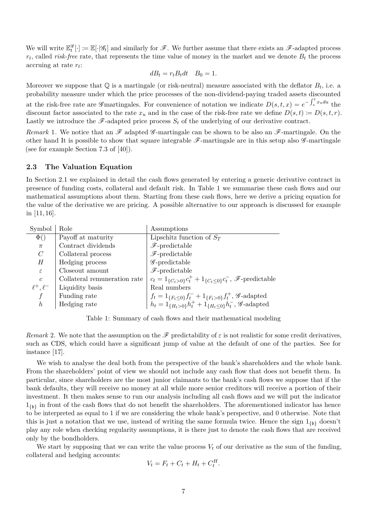We will write  $\mathbb{E}_{t}^{\mathscr{G}}[\cdot] \coloneqq \mathbb{E}[\cdot | \mathscr{G}_{t}]$  and similarly for  $\mathscr{F}$ . We further assume that there exists an  $\mathscr{F}$ -adapted process  $r_t$ , called *risk-free* rate, that represents the time value of money in the market and we denote  $B_t$  the process accruing at rate *r<sup>t</sup>* :

$$
dB_t = r_t B_t dt \quad B_0 = 1.
$$

Moreover we suppose that  $\mathbb Q$  is a martingale (or risk-neutral) measure associated with the deflator  $B_t$ , i.e. a probability measure under which the price processes of the non-dividend-paying traded assets discounted

at the risk-free rate are G martingales. For convenience of notation we indicate  $D(s,t,x) = e^{-\int_s^t x_u du}$  the discount factor associated to the rate  $x_u$  and in the case of the risk-free rate we define  $D(s,t) := D(s,t,r)$ . Lastly we introduce the  $\mathscr{F}\text{-adapted price process } S_t$  of the underlying of our derivative contract.

*Remark* 1. We notice that an  $\mathscr F$  adapted  $\mathscr G$ -martingale can be shown to be also an  $\mathscr F$ -martingale. On the other hand It is possible to show that square integrable  $\mathscr{F}\text{-martingale}$  are in this setup also  $\mathscr{G}\text{-martingale}$ (see for example Section 7.3 of [\[40\]](#page-32-10)).

#### **2.3 The Valuation Equation**

In Section [2.1](#page-5-0) we explained in detail the cash flows generated by entering a generic derivative contract in presence of funding costs, collateral and default risk. In Table [1](#page-8-0) we summarise these cash flows and our mathematical assumptions about them. Starting from these cash flows, here we derive a pricing equation for the value of the derivative we are pricing. A possible alternative to our approach is discussed for example in [\[11,](#page-30-8) [16\]](#page-31-14).

| Symbol              | Role                         | Assumptions                                                                                                                                                                |
|---------------------|------------------------------|----------------------------------------------------------------------------------------------------------------------------------------------------------------------------|
| $\Phi()$            | Payoff at maturity           | Lipschitz function of $S_T$                                                                                                                                                |
| $\pi$               | Contract dividends           | $\mathscr{F}\text{-predictable}$                                                                                                                                           |
| $\mathcal{C}$       | Collateral process           | $\mathscr{F}\text{-predictable}$                                                                                                                                           |
| Н                   | Hedging process              | $\mathscr{G}\text{-predictable}$                                                                                                                                           |
| $\varepsilon$       | Closeout amount              | $\mathscr{F}\text{-predictable}$                                                                                                                                           |
| $\mathfrak{c}$      | Collateral remuneration rate | $c_t = 1_{\{C_t > 0\}} c_t^+ + 1_{\{C_t \le 0\}} c_t^-, \mathscr{F}\text{-predictable}$                                                                                    |
| $\ell^+$ , $\ell^-$ | Liquidity basis              | Real numbers                                                                                                                                                               |
|                     | Funding rate                 |                                                                                                                                                                            |
| $\hbar$             | Hedging rate                 | $f_t = 1_{\{F_t \le 0\}} f_t^+ + 1_{\{F_t > 0\}} f_t^+, \mathscr{G}\text{-adapted}$<br>$h_t = 1_{\{H_t > 0\}} h_t^+ + 1_{\{H_t \le 0\}} h_t^-, \mathscr{G}\text{-adapted}$ |

<span id="page-8-0"></span>Table 1: Summary of cash flows and their mathematical modeling

*Remark* 2. We note that the assumption on the  $\mathscr F$  predictability of  $\varepsilon$  is not realistic for some credit derivatives, such as CDS, which could have a significant jump of value at the default of one of the parties. See for instance [\[17\]](#page-31-7).

We wish to analyse the deal both from the perspective of the bank's shareholders and the whole bank. From the shareholders' point of view we should not include any cash flow that does not benefit them. In particular, since shareholders are the most junior claimants to the bank's cash flows we suppose that if the bank defaults, they will receive no money at all while more senior creditors will receive a portion of their investment. It then makes sense to run our analysis including all cash flows and we will put the indicator  $1_{\{b\}}$  in front of the cash flows that do not benefit the shareholders. The aforementioned indicator has hence to be interpreted as equal to 1 if we are considering the whole bank's perspective, and 0 otherwise. Note that this is just a notation that we use, instead of writing the same formula twice. Hence the sign  $1_{\{b\}}$  doesn't play any role when checking regularity assumptions, it is there just to denote the cash flows that are received only by the bondholders.

We start by supposing that we can write the value process  $V_t$  of our derivative as the sum of the funding, collateral and hedging accounts:

$$
V_t = F_t + C_t + H_t + C_t^H.
$$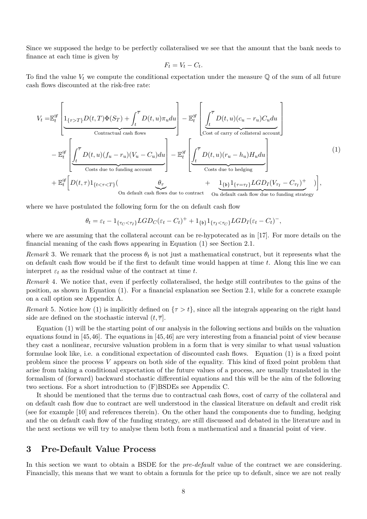Since we supposed the hedge to be perfectly collateralised we see that the amount that the bank needs to finance at each time is given by

$$
F_t = V_t - C_t.
$$

To find the value  $V_t$  we compute the conditional expectation under the measure  $\mathbb Q$  of the sum of all future cash flows discounted at the risk-free rate:

<span id="page-9-1"></span>
$$
V_t = \mathbb{E}_t^{\mathscr{G}} \left[ \underbrace{1_{\{\tau > T\}} D(t, T) \Phi(S_T) + \int_t^{\overline{\tau}} D(t, u) \pi_u du}_{\text{Contractual cash flows}} \right] - \mathbb{E}_t^{\mathscr{G}} \left[ \underbrace{\int_t^{\overline{\tau}} D(t, u)(c_u - r_u) C_u du}_{\text{Cost of carry of collateral account}} \right] - \mathbb{E}_t^{\mathscr{G}} \left[ \underbrace{\int_t^{\overline{\tau}} D(t, u)(c_u - r_u) C_u du}_{\text{Costs due to funding account}} \right] - \mathbb{E}_t^{\mathscr{G}} \left[ \underbrace{\int_t^{\overline{\tau}} D(t, u)(r_u - h_u) H_u du}_{\text{Costs due to hedging}} \right] \tag{1}
$$

where we have postulated the following form for the on default cash flow

$$
\theta_t = \varepsilon_t - 1_{\{\tau_C < \tau_I\}} LGD_C(\varepsilon_t - C_t)^+ + 1_{\{b\}} 1_{\{\tau_I < \tau_C\}} LGD_I(\varepsilon_t - C_t)^-,
$$

where we are assuming that the collateral account can be re-hypotecated as in [\[17\]](#page-31-7). For more details on the financial meaning of the cash flows appearing in Equation [\(1\)](#page-9-1) see Section [2.1.](#page-5-0)

*Remark* 3. We remark that the process  $\theta_t$  is not just a mathematical construct, but it represents what the on default cash flow would be if the first to default time would happen at time *t*. Along this line we can interpret  $\varepsilon_t$  as the residual value of the contract at time *t*.

*Remark* 4*.* We notice that, even if perfectly collateralised, the hedge still contributes to the gains of the position, as shown in Equation [\(1\)](#page-9-1). For a financial explanation see Section [2.1,](#page-5-0) while for a concrete example on a call option see Appendix [A.](#page-25-0)

*Remark* 5. Notice how [\(1\)](#page-9-1) is implicitly defined on  $\{\tau > t\}$ , since all the integrals appearing on the right hand side are defined on the stochastic interval  $(t, \overline{\tau})$ .

Equation [\(1\)](#page-9-1) will be the starting point of our analysis in the following sections and builds on the valuation equations found in [\[45,](#page-32-2)[46\]](#page-32-3). The equations in [\[45,](#page-32-2)[46\]](#page-32-3) are very interesting from a financial point of view because they cast a nonlinear, recursive valuation problem in a form that is very similar to what usual valuation formulae look like, i.e. a conditional expectation of discounted cash flows. Equation [\(1\)](#page-9-1) is a fixed point problem since the process *V* appears on both side of the equality. This kind of fixed point problem that arise from taking a conditional expectation of the future values of a process, are usually translated in the formalism of (forward) backward stochastic differential equations and this will be the aim of the following two sections. For a short introduction to (F)BSDEs see Appendix [C.](#page-28-0)

It should be mentioned that the terms due to contractual cash flows, cost of carry of the collateral and on default cash flow due to contract are well understood in the classical literature on default and credit risk (see for example [\[10\]](#page-30-0) and references therein). On the other hand the components due to funding, hedging and the on default cash flow of the funding strategy, are still discussed and debated in the literature and in the next sections we will try to analyse them both from a mathematical and a financial point of view.

## <span id="page-9-0"></span>**3 Pre-Default Value Process**

In this section we want to obtain a BSDE for the *pre-default* value of the contract we are considering. Financially, this means that we want to obtain a formula for the price up to default, since we are not really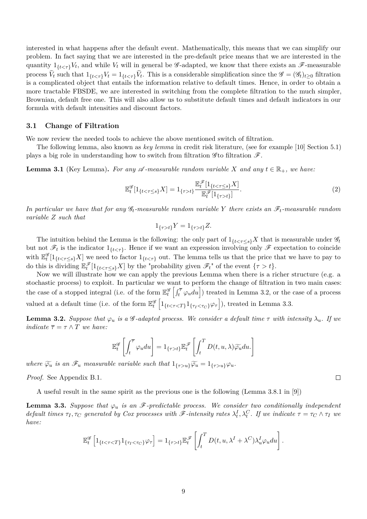interested in what happens after the default event. Mathematically, this means that we can simplify our problem. In fact saying that we are interested in the pre-default price means that we are interested in the quantity  $1_{\{t < \tau\}}V_t$ , and while  $V_t$  will in general be *G*-adapted, we know that there exists an *F*-measurable process  $V_t$  such that  $1_{\{t < \tau\}}V_t = 1_{\{t \le \tau\}}V_t$ . This is a considerable simplification since the  $\mathscr{G} = (\mathscr{G}_t)_{t \ge 0}$  filtration is a complicated object that entails the information relative to default times. Hence, in order to obtain a more tractable FBSDE, we are interested in switching from the complete filtration to the much simpler, Brownian, default free one. This will also allow us to substitute default times and default indicators in our formula with default intensities and discount factors.

#### <span id="page-10-2"></span>**3.1 Change of Filtration**

We now review the needed tools to achieve the above mentioned switch of filtration.

The following lemma, also known as *key lemma* in credit risk literature, (see for example [\[10\]](#page-30-0) Section 5*.*1) plays a big role in understanding how to switch from filtration  $\mathscr{F}$ .

<span id="page-10-3"></span>**Lemma 3.1** (Key Lemma). For any  $\mathscr A$ -measurable random variable X and any  $t \in \mathbb{R}_+$ , we have:

$$
\mathbb{E}_{t}^{\mathcal{G}}[1_{\{t < \tau \leq s\}} X] = 1_{\{\tau > t\}} \frac{\mathbb{E}_{t}^{\mathcal{F}}[1_{\{t < \tau \leq s\}} X]}{\mathbb{E}_{t}^{\mathcal{F}}[1_{\{\tau > t\}}]}.
$$
\n(2)

*In particular we have that for any* G*t-measurable random variable Y there exists an* F*t-measurable random variable Z such that*

$$
1_{\{\tau > t\}} Y = 1_{\{\tau > t\}} Z.
$$

The intuition behind the Lemma is the following: the only part of  $1_{\{t < \tau \le s\}} X$  that is measurable under  $\mathscr{G}_t$ but not  $\mathscr{F}_t$  is the indicator  $1_{\{t<\tau\}}$ . Hence if we want an expression involving only  $\mathscr{F}$  expectation to coincide with  $\mathbb{E}^{\mathscr{G}}_t[1_{\{t<\tau\leq s\}}X]$  we need to factor  $1_{\{t<\tau\}}$  out. The lemma tells us that the price that we have to pay to do this is dividing  $\mathbb{E}_{t}^{\mathscr{F}}[1_{\{t < \tau \leq s\}} X]$  by the "probability given  $\mathscr{F}_{t}$ " of the event  $\{\tau > t\}$ .

Now we will illustrate how we can apply the previous Lemma when there is a richer structure (e.g. a stochastic process) to exploit. In particular we want to perform the change of filtration in two main cases: the case of a stopped integral (i.e. of the form  $\mathbb{E}_{t}^{\mathscr{G}}\left[\int_{t}^{\overline{\tau}}\varphi_{u}du\right]$ ) treated in Lemma [3.2,](#page-10-0) or the case of a process valued at a default time (i.e. of the form  $\mathbb{E}_t^{\mathscr{G}}\left[1_{\{t < \tau < T\}}1_{\{\tau_I < \tau_C\}}\varphi_\tau\right]$ ), treated in Lemma [3.3.](#page-10-1)

<span id="page-10-0"></span>**Lemma 3.2.** *Suppose that*  $\varphi_u$  *is a* G-adapted process. We consider a default time  $\tau$  *with intensity*  $\lambda_u$ *. If we indicate*  $\overline{\tau} = \tau \wedge T$  *we have:* 

$$
\mathbb{E}_{t}^{\mathscr{G}}\left[\int_{t}^{\overline{\tau}}\varphi_{u}du\right]=1_{\{\tau>t\}}\mathbb{E}_{t}^{\mathscr{F}}\left[\int_{t}^{T}D(t,u,\lambda)\widetilde{\varphi_{u}}du\right]
$$

*where*  $\widetilde{\varphi_u}$  *is an*  $\mathscr{F}_u$  *measurable variable such that*  $1_{\{\tau > u\}}\widetilde{\varphi_u} = 1_{\{\tau > u\}}\varphi_u$ .

*Proof.* See Appendix [B.1.](#page-26-0)

A useful result in the same spirit as the previous one is the following (Lemma 3.8.1 in [\[9\]](#page-30-9))

<span id="page-10-1"></span>**Lemma 3.3.** *Suppose that*  $\varphi_u$  *is an* F-predictable process. We consider two conditionally independent default times  $\tau_I, \tau_C$  generated by Cox processes with  $\mathscr F$ -intensity rates  $\lambda_t^I, \lambda_t^C$ . If we indicate  $\tau = \tau_C \wedge \tau_I$  we *have:*

$$
\mathbb{E}_{t}^{\mathscr{G}}\left[1_{\{t<\taut\}}\mathbb{E}_{t}^{\mathscr{F}}\left[\int_{t}^{T}D(t,u,\lambda^{I}+\lambda^{C})\lambda_{u}^{I}\varphi_{u}du\right].
$$

9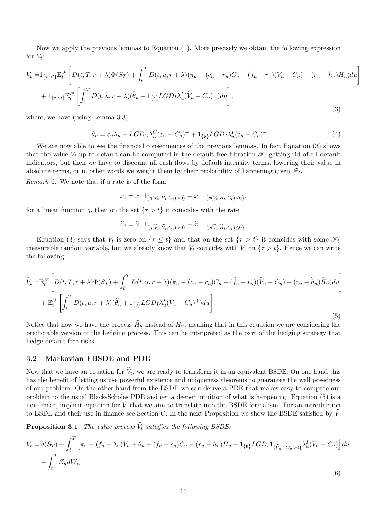Now we apply the previous lemmas to Equation [\(1\)](#page-9-1). More precisely we obtain the following expression for  $V_t$ :

<span id="page-11-0"></span>
$$
V_t = 1_{\{\tau > t\}} \mathbb{E}_t^{\mathscr{F}} \left[ D(t, T, r + \lambda) \Phi(S_T) + \int_t^T D(t, u, r + \lambda) (\pi_u - (c_u - r_u) C_u - (\tilde{f}_u - r_u)(\tilde{V}_u - C_u) - (r_u - \tilde{h}_u) \tilde{H}_u) du \right]
$$
  
+ 
$$
1_{\{\tau > t\}} \mathbb{E}_t^{\mathscr{F}} \left[ \int_t^T D(t, u, r + \lambda) (\tilde{\theta}_u + 1_{\{\mathfrak{b}\}} LGD_I \lambda_u^I (\tilde{V}_u - C_u)^+) du \right],
$$
  
(3)

where, we have (using Lemma [3.3\)](#page-10-1):

$$
\widetilde{\theta}_u = \varepsilon_u \lambda_u - LGD_C \lambda_u^C (\varepsilon_u - C_u)^+ + 1_{\{\mathfrak{b}\}} LGD_I \lambda_u^I (\varepsilon_u - C_u)^-. \tag{4}
$$

We are now able to see the financial consequences of the previous lemmas. In fact Equation [\(3\)](#page-11-0) shows that the value  $V_t$  up to default can be computed in the default free filtration  $\mathscr{F}$ , getting rid of all default indicators, but then we have to discount all cash flows by default intensity terms, lowering their value in absolute terms, or in other words we weight them by their probability of happening given  $\mathscr{F}_t$ .

*Remark* 6*.* We note that if a rate is of the form

$$
x_t = x^+ 1_{\{g(V_t, H_t, C_t) > 0\}} + x^- 1_{\{g(V_t, H_t, C_t) \le 0\}},
$$

for a linear function *g*, then on the set  $\{\tau > t\}$  it coincides with the rate

$$
\widetilde{x}_t = \widetilde{x}^+ 1_{\{g(\widetilde{V}_t, \widetilde{H}_t, C_t) > 0\}} + \widetilde{x}^- 1_{\{g(\widetilde{V}_t, \widetilde{H}_t, C_t) \le 0\}}.
$$

Equation [\(3\)](#page-11-0) says that  $V_t$  is zero on  $\{\tau \leq t\}$  and that on the set  $\{\tau > t\}$  it coincides with some  $\mathscr{F}_t$ measurable random variable, but we already know that  $V_t$  coincides with  $V_t$  on  $\{\tau > t\}$ . Hence we can write the following:

<span id="page-11-1"></span>
$$
\widetilde{V}_t = \mathbb{E}_t^{\mathscr{F}} \left[ D(t, T, r + \lambda) \Phi(S_T) + \int_t^T D(t, u, r + \lambda) (\pi_u - (c_u - r_u)C_u - (\widetilde{f}_u - r_u)(\widetilde{V}_u - C_u) - (r_u - \widetilde{h}_u) \widetilde{H}_u) du \right] \n+ \mathbb{E}_t^{\mathscr{F}} \left[ \int_t^T D(t, u, r + \lambda) (\widetilde{\theta}_u + 1_{\{b\}} LGD_I \lambda_u^I (\widetilde{V}_u - C_u)^+) du \right].
$$
\n(5)

Notice that now we have the process  $H_u$  instead of  $H_u$ , meaning that in this equation we are considering the predictable version of the hedging process. This can be interpreted as the part of the hedging strategy that hedge default-free risks.

#### <span id="page-11-4"></span>**3.2 Markovian FBSDE and PDE**

Now that we have an equation for  $V_t$ , we are ready to transform it in an equivalent BSDE. On one hand this has the benefit of letting us use powerful existence and uniqueness theorems to guarantee the well posedness of our problem. On the other hand from the BSDE we can derive a PDE that makes easy to compare our problem to the usual Black-Scholes PDE and get a deeper intuition of what is happening. Equation [\(5\)](#page-11-1) is a non-linear, implicit equation for  $\tilde{V}$  that we aim to translate into the BSDE formalism. For an introduction to BSDE and their use in finance see Section [C.](#page-28-0) In the next Proposition we show the BSDE satisfied by  $\tilde{V}$ .

<span id="page-11-3"></span>**Proposition 3.1.** *The value process*  $V_t$  *satisfies the following BSDE*:

<span id="page-11-2"></span>
$$
\widetilde{V}_t = \Phi(S_T) + \int_t^T \left[ \pi_u - (f_u + \lambda_u)\widetilde{V}_u + \widetilde{\theta}_u + (f_u - c_u)C_u - (r_u - \widetilde{h}_u)\widetilde{H}_u + 1_{\{\mathfrak{b}\}} LGD_I 1_{\{\widetilde{V}_u - C_u > 0\}} \lambda_u^I (\widetilde{V}_u - C_u) \right] du
$$

$$
- \int_t^T Z_u dW_u.
$$
\n(6)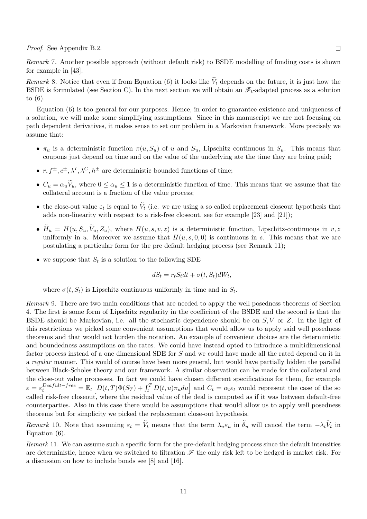*Proof.* See Appendix [B.2.](#page-27-0)

*Remark* 7*.* Another possible approach (without default risk) to BSDE modelling of funding costs is shown for example in [\[43\]](#page-32-6).

*Remark* 8. Notice that even if from Equation [\(6\)](#page-11-2) it looks like  $V_t$  depends on the future, it is just how the BSDE is formulated (see Section [C\)](#page-28-0). In the next section we will obtain an  $\mathscr{F}_t$ -adapted process as a solution to [\(6\)](#page-11-2).

Equation [\(6\)](#page-11-2) is too general for our purposes. Hence, in order to guarantee existence and uniqueness of a solution, we will make some simplifying assumptions. Since in this manuscript we are not focusing on path dependent derivatives, it makes sense to set our problem in a Markovian framework. More precisely we assume that:

- $\pi_u$  is a deterministic function  $\pi(u, S_u)$  of *u* and  $S_u$ , Lipschitz continuous in  $S_u$ . This means that coupons just depend on time and on the value of the underlying ate the time they are being paid;
- $r, f^{\pm}, c^{\pm}, \lambda^I, \lambda^C, h^{\pm}$  are deterministic bounded functions of time;
- $C_u = \alpha_u V_u$ , where  $0 \le \alpha_u \le 1$  is a deterministic function of time. This means that we assume that the collateral account is a fraction of the value process;
- the close-out value  $\varepsilon_t$  is equal to  $V_t$  (i.e. we are using a so called replacement closeout hypothesis that adds non-linearity with respect to a risk-free closeout, see for example [\[23\]](#page-31-3) and [\[21\]](#page-31-9));
- $H_u = H(u, S_u, V_u, Z_u)$ , where  $H(u, s, v, z)$  is a deterministic function, Lipschitz-continuous in  $v, z$ uniformly in *u*. Moreover we assume that  $H(u, s, 0, 0)$  is continuous in *s*. This means that we are postulating a particular form for the pre default hedging process (see Remark [11\)](#page-12-0);
- we suppose that  $S_t$  is a solution to the following SDE

$$
dS_t = r_t S_t dt + \sigma(t, S_t) dW_t,
$$

where  $\sigma(t, S_t)$  is Lipschitz continuous uniformly in time and in  $S_t$ .

<span id="page-12-1"></span>*Remark* 9*.* There are two main conditions that are needed to apply the well posedness theorems of Section [4.](#page-13-0) The first is some form of Lipschitz regularity in the coefficient of the BSDE and the second is that the BSDE should be Markovian, i.e. all the stochastic dependence should be on *S, V* or *Z*. In the light of this restrictions we picked some convenient assumptions that would allow us to apply said well posedness theorems and that would not burden the notation. An example of convenient choices are the deterministic and boundedness assumptions on the rates. We could have instead opted to introduce a multidimensional factor process instead of a one dimensional SDE for *S* and we could have made all the rated depend on it in a *regular* manner. This would of course have been more general, but would have partially hidden the parallel between Black-Scholes theory and our framework. A similar observation can be made for the collateral and the close-out value processes. In fact we could have chosen different specifications for them, for example  $\varepsilon = \varepsilon_t^{Death-free} = \mathbb{E}_t [D(t,T)\Phi(S_T) + \int_t^T D(t,u)\pi_u du]$  and  $C_t = \alpha_t \varepsilon_t$  would represent the case of the so called risk-free closeout, where the residual value of the deal is computed as if it was between default-free counterparties. Also in this case there would be assumptions that would allow us to apply well posedness theorems but for simplicity we picked the replacement close-out hypothesis.

*Remark* 10. Note that assuming  $\varepsilon_t = V_t$  means that the term  $\lambda_u \varepsilon_u$  in  $\theta_u$  will cancel the term  $-\lambda_t V_t$  in Equation [\(6\)](#page-11-2).

<span id="page-12-0"></span>*Remark* 11*.* We can assume such a specific form for the pre-default hedging process since the default intensities are deterministic, hence when we switched to filtration  $\mathscr F$  the only risk left to be hedged is market risk. For a discussion on how to include bonds see [\[8\]](#page-30-10) and [\[16\]](#page-31-14).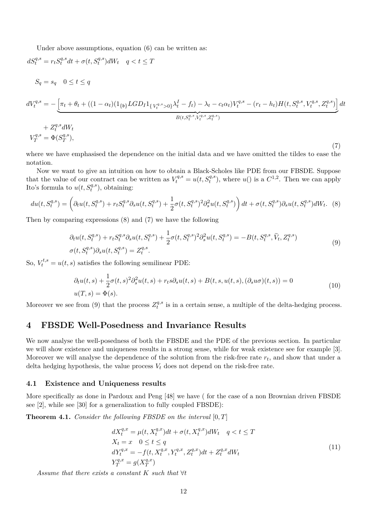Under above assumptions, equation [\(6\)](#page-11-2) can be written as:

<span id="page-13-2"></span>
$$
dS_{t}^{q,s} = r_{t}S_{t}^{q,s}dt + \sigma(t, S_{t}^{q,s})dW_{t} \quad q < t \leq T
$$
\n
$$
S_{q} = s_{q} \quad 0 \leq t \leq q
$$
\n
$$
dV_{t}^{q,s} = -\left[\pi_{t} + \theta_{t} + ((1 - \alpha_{t})(1_{\{b\}} LGD_{I}1_{\{V_{t}^{q,s} > 0\}}\lambda_{t}^{I} - f_{t}) - \lambda_{t} - c_{t}\alpha_{t})V_{t}^{q,s} - (r_{t} - h_{t})H(t, S_{t}^{q,s}, V_{t}^{q,s}, Z_{t}^{q,s})\right]dt
$$
\n
$$
+ Z_{t}^{q,s}dW_{t}
$$
\n
$$
V_{T}^{q,s} = \Phi(S_{T}^{q,s}),
$$
\n(7)

where we have emphasised the dependence on the initial data and we have omitted the tildes to ease the notation.

Now we want to give an intuition on how to obtain a Black-Scholes like PDE from our FBSDE. Suppose that the value of our contract can be written as  $V_t^{q,s} = u(t, S_t^{q,s})$ , where  $u()$  is a  $C^{1,2}$ . Then we can apply Ito's formula to  $u(t, S_t^{q,s})$ , obtaining:

<span id="page-13-1"></span>
$$
du(t, S_t^{q,s}) = \left(\partial_t u(t, S_t^{q,s}) + r_t S_t^{q,s} \partial_s u(t, S_t^{q,s}) + \frac{1}{2} \sigma(t, S_t^{q,s})^2 \partial_s^2 u(t, S_t^{q,s})\right) dt + \sigma(t, S_t^{q,s}) \partial_s u(t, S_t^{q,s}) dW_t. \tag{8}
$$

Then by comparing expressions [\(8\)](#page-13-1) and [\(7\)](#page-13-2) we have the following

<span id="page-13-3"></span>
$$
\partial_t u(t, S_t^{q,s}) + r_t S_t^{q,s} \partial_s u(t, S_t^{q,s}) + \frac{1}{2} \sigma(t, S_t^{q,s})^2 \partial_s^2 u(t, S_t^{q,s}) = -B(t, S_t^{q,s}, \tilde{V}_t, Z_t^{q,s}) \n\sigma(t, S_t^{q,s}) \partial_s u(t, S_t^{q,s}) = Z_t^{q,s}.
$$
\n(9)

So,  $V_t^{t,s} = u(t,s)$  satisfies the following semilinear PDE:

$$
\partial_t u(t,s) + \frac{1}{2}\sigma(t,s)^2 \partial_s^2 u(t,s) + r_t s \partial_s u(t,s) + B(t,s, u(t,s), (\partial_s u \sigma)(t,s)) = 0
$$
  
 
$$
u(T,s) = \Phi(s).
$$
 (10)

Moreover we see from [\(9\)](#page-13-3) that the process  $Z_t^{q,s}$  $t^{q,s}$  is in a certain sense, a multiple of the delta-hedging process.

## <span id="page-13-0"></span>**4 FBSDE Well-Posedness and Invariance Results**

We now analyse the well-posedness of both the FBSDE and the PDE of the previous section. In particular we will show existence and uniqueness results in a strong sense, while for weak existence see for example [\[3\]](#page-30-11). Moreover we will analyse the dependence of the solution from the risk-free rate *r<sup>t</sup>* , and show that under a delta hedging hypothesis, the value process  $V_t$  does not depend on the risk-free rate.

#### **4.1 Existence and Uniqueness results**

More specifically as done in Pardoux and Peng [\[48\]](#page-32-11) we have ( for the case of a non Brownian driven FBSDE see [\[2\]](#page-30-12), while see [\[30\]](#page-31-15) for a generalization to fully coupled FBSDE):

<span id="page-13-5"></span>**Theorem 4.1.** *Consider the following FBSDE on the interval* [0*, T*]

<span id="page-13-4"></span>
$$
dX_t^{q,x} = \mu(t, X_t^{q,x})dt + \sigma(t, X_t^{q,x})dW_t \quad q < t \le T
$$
  
\n
$$
X_t = x \quad 0 \le t \le q
$$
  
\n
$$
dY_t^{q,x} = -f(t, X_t^{q,x}, Y_t^{q,x}, Z_t^{q,x})dt + Z_t^{q,x}dW_t
$$
  
\n
$$
Y_T^{q,x} = g(X_T^{q,x})
$$
\n(11)

*Assume that there exists a constant K such that* ∀*t*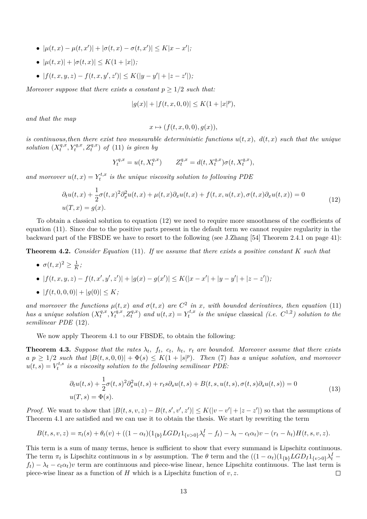- $\bullet$  | $\mu(t, x) \mu(t, x')$ | + | $\sigma(t, x) \sigma(t, x')$ | ≤ K|x − x'|;
- $|\mu(t, x)| + |\sigma(t, x)| \leq K(1 + |x|);$
- $|f(t, x, y, z) f(t, x, y', z')| \le K(|y y'| + |z z'|);$

*Moreover suppose that there exists a constant*  $p \geq 1/2$  *such that:* 

$$
|g(x)| + |f(t, x, 0, 0)| \le K(1 + |x|^p),
$$

*and that the map*

$$
x \mapsto (f(t, x, 0, 0), g(x)),
$$

*is continuous, then there exist two measurable deterministic functions*  $u(t, x)$ *,*  $d(t, x)$  *such that the unique solution*  $(X_t^{q,x})$  $f_t^{q,x}, Y_t^{q,x}, Z_t^{q,x}$  *of* [\(11\)](#page-13-4) *is given by* 

$$
Y_t^{q,x} = u(t, X_t^{q,x}) \qquad Z_t^{q,x} = d(t, X_t^{q,x})\sigma(t, X_t^{q,x}),
$$

*and moreover*  $u(t, x) = Y_t^{t, x}$ *t is the unique viscosity solution to following PDE*

<span id="page-14-0"></span>
$$
\partial_t u(t,x) + \frac{1}{2}\sigma(t,x)^2 \partial_x^2 u(t,x) + \mu(t,x)\partial_x u(t,x) + f(t,x,u(t,x),\sigma(t,x)\partial_x u(t,x)) = 0
$$
  
 
$$
u(T,x) = g(x).
$$
 (12)

To obtain a classical solution to equation [\(12\)](#page-14-0) we need to require more smoothness of the coefficients of equation [\(11\)](#page-13-4). Since due to the positive parts present in the default term we cannot require regularity in the backward part of the FBSDE we have to resort to the following (see J.Zhang [\[54\]](#page-33-0) Theorem 2.4.1 on page 41):

<span id="page-14-1"></span>**Theorem 4.2.** *Consider Equation* [\(11\)](#page-13-4)*. If we assume that there exists a positive constant K such that*

 $\bullet \ \sigma(t,x)^2 \geq \frac{1}{k}$  $\frac{1}{K}$ ;

• 
$$
|f(t, x, y, z) - f(t, x', y', z')| + |g(x) - g(x')| \le K(|x - x'| + |y - y'| + |z - z'|);
$$

•  $|f(t, 0, 0, 0)| + |g(0)| \leq K$ ;

*and moreover the functions*  $\mu(t, x)$  *and*  $\sigma(t, x)$  *are*  $C^2$  *in x,* with bounded derivatives, then equation [\(11\)](#page-13-4) *has a unique solution*  $(X_t^{q,x})$  $Y_t^{q,x}, Y_t^{q,x}, Z_t^{q,x}$  *and*  $u(t, x) = Y_t^{t,x}$  $t_t^{t,x}$  *is the unique* classical *(i.e.*  $C^{1,2}$ *) solution to the semilinear PDE* [\(12\)](#page-14-0)*.*

We now apply Theorem [4.1](#page-13-5) to our FBSDE, to obtain the following:

<span id="page-14-2"></span>**Theorem 4.3.** Suppose that the rates  $\lambda_t$ ,  $f_t$ ,  $c_t$ ,  $h_t$ ,  $r_t$  are bounded. Moreover assume that there exists  $a p \geq 1/2$  *such that*  $|B(t, s, 0, 0)| + \Phi(s) \leq K(1 + |s|^p)$ *. Then* [\(7\)](#page-13-2) *has a unique solution, and moreover*  $u(t,s) = V_t^{t,s}$ *t is a viscosity solution to the following semilinear PDE:*

<span id="page-14-3"></span>
$$
\partial_t u(t,s) + \frac{1}{2}\sigma(t,s)^2 \partial_s^2 u(t,s) + r_t s \partial_s u(t,s) + B(t,s, u(t,s), \sigma(t,s) \partial_s u(t,s)) = 0
$$
  
(13)  

$$
u(T,s) = \Phi(s).
$$

*Proof.* We want to show that  $|B(t, s, v, z) - B(t, s', v', z')| \le K(|v - v'| + |z - z'|)$  so that the assumptions of Theorem [4.1](#page-13-5) are satisfied and we can use it to obtain the thesis. We start by rewriting the term

$$
B(t, s, v, z) = \pi_t(s) + \theta_t(v) + ((1 - \alpha_t)(1_{\{b\}} LGD_I 1_{\{v > 0\}} \lambda_t^I - f_t) - \lambda_t - c_t \alpha_t)v - (r_t - h_t)H(t, s, v, z).
$$

This term is a sum of many terms, hence is sufficient to show that every summand is Lipschitz continuous. The term  $\pi_t$  is Lipschitz continuous in *s* by assumption. The  $\theta$  term and the  $((1 - \alpha_t)(1_{\{\mathfrak{b}\}} LGD_I 1_{\{v > 0\}}\lambda_t^I$  $f_t$ ) −  $\lambda_t$  −  $c_t\alpha_t$ )*v* term are continuous and piece-wise linear, hence Lipschitz continuous. The last term is piece-wise linear as a function of *H* which is a Lipschitz function of *v, z*.  $\Box$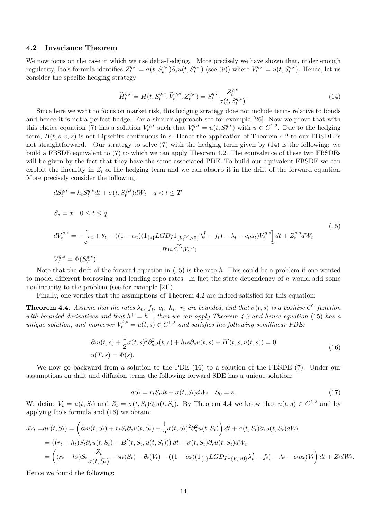#### **4.2 Invariance Theorem**

We now focus on the case in which we use delta-hedging. More precisely we have shown that, under enough regularity, Ito's formula identifies  $Z_t^{q,s} = \sigma(t, S_t^{q,s}) \partial_s u(t, S_t^{q,s})$  (see [\(9\)](#page-13-3)) where  $V_t^{q,s} = u(t, S_t^{q,s})$ . Hence, let us consider the specific hedging strategy

<span id="page-15-0"></span>
$$
\widetilde{H}_t^{q,s} = H(t, S_t^{q,s}, \widetilde{V}_t^{q,s}, Z_t^{q,s}) = S_t^{q,s} \frac{Z_t^{q,s}}{\sigma(t, S_t^{q,s})}.
$$
\n(14)

Since here we want to focus on market risk, this hedging strategy does not include terms relative to bonds and hence it is not a perfect hedge. For a similar approach see for example [\[26\]](#page-31-12). Now we prove that with this choice equation  $(7)$  has a solution  $V_t^{q,s}$  $V_t^{q,s}$  such that  $V_t^{q,s} = u(t, S_t^{q,s})$  with  $u \in C^{1,2}$ . Due to the hedging term, *B*(*t, s, v, z*) is not Lipschitz continuous in *s*. Hence the application of Theorem [4.2](#page-14-1) to our FBSDE is not straightforward. Our strategy to solve [\(7\)](#page-13-2) with the hedging term given by [\(14\)](#page-15-0) is the following: we build a FBSDE equivalent to [\(7\)](#page-13-2) to which we can apply Theorem [4.2.](#page-14-1) The equivalence of these two FBSDEs will be given by the fact that they have the same associated PDE. To build our equivalent FBSDE we can exploit the linearity in  $Z_t$  of the hedging term and we can absorb it in the drift of the forward equation. More precisely consider the following:

<span id="page-15-1"></span>
$$
dS_{t}^{q,s} = h_{t}S_{t}^{q,s}dt + \sigma(t, S_{t}^{q,s})dW_{t} \quad q < t \leq T
$$
  
\n
$$
S_{q} = x \quad 0 \leq t \leq q
$$
  
\n
$$
dV_{t}^{q,s} = -\underbrace{\left[\pi_{t} + \theta_{t} + ((1 - \alpha_{t})(1_{\{b\}} LGD_{I}1_{\{V_{t}^{q,s} > 0\}}\lambda_{t}^{I} - f_{t}) - \lambda_{t} - c_{t}\alpha_{t})V_{t}^{q,s}\right]}_{B'(t, S_{t}^{q,s}, V_{t}^{q,s})}dt + Z_{t}^{q,s}dW_{t}
$$
\n
$$
V_{T}^{q,s} = \Phi(S_{T}^{q,s}).
$$
\n
$$
(15)
$$

Note that the drift of the forward equation in [\(15\)](#page-15-1) is the rate *h*. This could be a problem if one wanted to model different borrowing and lending repo rates. In fact the state dependency of *h* would add some nonlinearity to the problem (see for example [\[21\]](#page-31-9)).

Finally, one verifies that the assumptions of Theorem [4.2](#page-14-1) are indeed satisfied for this equation:

<span id="page-15-3"></span>**Theorem 4.4.** Assume that the rates  $\lambda_t$ ,  $f_t$ ,  $c_t$ ,  $h_t$ ,  $r_t$  are bounded, and that  $\sigma(t,s)$  is a positive  $C^2$  function *with bounded derivatives and that*  $h^+ = h^-$ , then we can apply Theorem [4.2](#page-14-1) and hence equation [\(15\)](#page-15-1) has a *unique solution, and moreover*  $V_t^{t,s} = u(t,s) \in C^{1,2}$  *and satisfies the following semilinear PDE:* 

<span id="page-15-2"></span>
$$
\partial_t u(t,s) + \frac{1}{2}\sigma(t,s)^2 \partial_s^2 u(t,s) + h_t s \partial_s u(t,s) + B'(t,s, u(t,s)) = 0
$$
  
 
$$
u(T,s) = \Phi(s).
$$
 (16)

We now go backward from a solution to the PDE [\(16\)](#page-15-2) to a solution of the FBSDE [\(7\)](#page-13-2). Under our assumptions on drift and diffusion terms the following forward SDE has a unique solution:

<span id="page-15-4"></span>
$$
dS_t = r_t S_t dt + \sigma(t, S_t) dW_t \quad S_0 = s. \tag{17}
$$

*.*

We define  $V_t = u(t, S_t)$  and  $Z_t = \sigma(t, S_t) \partial_s u(t, S_t)$ . By Theorem [4.4](#page-15-3) we know that  $u(t, s) \in C^{1,2}$  and by applying Ito's formula and [\(16\)](#page-15-2) we obtain:

$$
dV_t = du(t, S_t) = \left(\partial_t u(t, S_t) + r_t S_t \partial_s u(t, S_t) + \frac{1}{2}\sigma(t, S_t)^2 \partial_s^2 u(t, S_t)\right) dt + \sigma(t, S_t) \partial_s u(t, S_t) dW_t
$$
  
=  $((r_t - h_t)S_t \partial_s u(t, S_t) - B'(t, S_t, u(t, S_t))) dt + \sigma(t, S_t) \partial_s u(t, S_t) dW_t$   
=  $\left((r_t - h_t)S_t \frac{Z_t}{\sigma(t, S_t)} - \pi_t(S_t) - \theta_t(V_t) - ((1 - \alpha_t)(1_{\{b\}} LGD_I 1_{\{V_t > 0\}} \lambda_t^I - f_t) - \lambda_t - c_t \alpha_t) V_t\right) dt + Z_t dW_t$ 

Hence we found the following: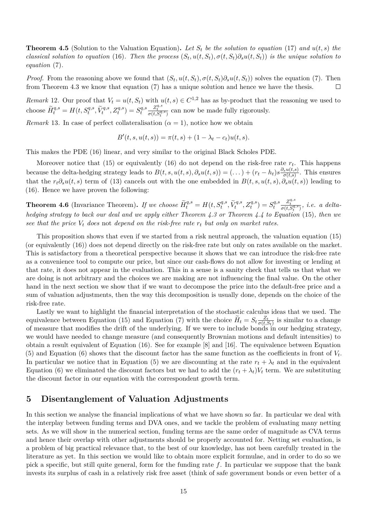**Theorem 4.5** (Solution to the Valuation Equation). Let  $S_t$  be the solution to equation [\(17\)](#page-15-4) and  $u(t,s)$  the classical solution to equation [\(16\)](#page-15-2). Then the process  $(S_t, u(t, S_t), \sigma(t, S_t) \partial_s u(t, S_t))$  is the unique solution to *equation* [\(7\)](#page-13-2)*.*

*Proof.* From the reasoning above we found that  $(S_t, u(t, S_t), \sigma(t, S_t) \partial_s u(t, S_t))$  solves the equation [\(7\)](#page-13-2). Then from Theorem [4.3](#page-14-2) we know that equation [\(7\)](#page-13-2) has a unique solution and hence we have the thesis.  $\Box$ 

*Remark* 12. Our proof that  $V_t = u(t, S_t)$  with  $u(t, s) \in C^{1,2}$  has as by-product that the reasoning we used to choose  $\widetilde{H}_t^{q,s} = H(t, S_t^{q,s}, \widetilde{V}_t^{q,s}, Z_t^{q,s}) = S_t^{q,s}$ *t*  $\frac{Z_t^{q,s}}{\sigma(t, S_t^{q,s})}$  can now be made fully rigorously.

<span id="page-16-1"></span>*Remark* 13. In case of perfect collateralisation  $(\alpha = 1)$ , notice how we obtain

$$
B'(t, s, u(t, s)) = \pi(t, s) + (1 - \lambda_t - c_t)u(t, s).
$$

This makes the PDE [\(16\)](#page-15-2) linear, and very similar to the original Black Scholes PDE.

Moreover notice that [\(15\)](#page-15-1) or equivalently [\(16\)](#page-15-2) do not depend on the risk-free rate *r<sup>t</sup>* . This happens because the delta-hedging strategy leads to  $B(t, s, u(t, s), \partial_s u(t, s)) = (\dots) + (r_t - h_t)s \frac{\partial_s u(t, s)}{\sigma(t, s)}$  $\frac{\sigma_s u(t,s)}{\sigma(t,s)}$ . This ensures that the  $r_t\partial_s u(t,s)$  term of [\(13\)](#page-14-3) cancels out with the one embedded in  $B(t, s, u(t, s), \partial_s u(t, s))$  leading to [\(16\)](#page-15-2). Hence we have proven the following:

**Theorem 4.6** (Invariance Theorem). If we choose  $\widetilde{H}_t^{q,s} = H(t, S_t^{q,s}, \widetilde{V}_t^{q,s}, Z_t^{q,s}) = S_t^{q,s}$ *t*  $\frac{Z_t^{q,s}}{\sigma(t,S_t^{q,s})}$ , *i.e.* a delta*t hedging strategy to back our deal and we apply either Theorem [4.3](#page-14-2) or Theorem [4.4](#page-15-3) to Equation* [\(15\)](#page-15-1)*, then we see that the price V<sup>t</sup> does* not *depend on the risk-free rate r<sup>t</sup> but only on market rates.*

This proposition shows that even if we started from a risk neutral approach, the valuation equation [\(15\)](#page-15-1) (or equivalently [\(16\)](#page-15-2)) does not depend directly on the risk-free rate but only on rates available on the market. This is satisfactory from a theoretical perspective because it shows that we can introduce the risk-free rate as a convenience tool to compute our price, but since our cash-flows do not allow for investing or lending at that rate, it does not appear in the evaluation. This in a sense is a sanity check that tells us that what we are doing is not arbitrary and the choices we are making are not influencing the final value. On the other hand in the next section we show that if we want to decompose the price into the default-free price and a sum of valuation adjustments, then the way this decomposition is usually done, depends on the choice of the risk-free rate.

Lastly we want to highlight the financial interpretation of the stochastic calculus ideas that we used. The equivalence between Equation [\(15\)](#page-15-1) and Equation [\(7\)](#page-13-2) with the choice  $\widetilde{H}_t = S_t \frac{Z_t}{\sigma(t,t)}$  $\frac{Z_t}{\sigma(t,S_t)}$  is similar to a change of measure that modifies the drift of the underlying. If we were to include bonds in our hedging strategy, we would have needed to change measure (and consequently Brownian motions and default intensities) to obtain a result equivalent of Equation (16). See for example [\[8\]](#page-30-10) and [\[16\]](#page-31-14). The equivalence between Equation [\(5\)](#page-11-1) and Equation [\(6\)](#page-11-2) shows that the discount factor has the same function as the coefficients in front of  $V_t$ . In particular we notice that in Equation [\(5\)](#page-11-1) we are discounting at the rate  $r_t + \lambda_t$  and in the equivalent Equation [\(6\)](#page-11-2) we eliminated the discount factors but we had to add the  $(r_t + \lambda_t)V_t$  term. We are substituting the discount factor in our equation with the correspondent growth term.

## <span id="page-16-0"></span>**5 Disentanglement of Valuation Adjustments**

In this section we analyse the financial implications of what we have shown so far. In particular we deal with the interplay between funding terms and DVA ones, and we tackle the problem of evaluating many netting sets. As we will show in the numerical section, funding terms are the same order of magnitude as CVA terms and hence their overlap with other adjustments should be properly accounted for. Netting set evaluation, is a problem of big practical relevance that, to the best of our knowledge, has not been carefully treated in the literature as yet. In this section we would like to obtain more explicit formulae, and in order to do so we pick a specific, but still quite general, form for the funding rate *f*. In particular we suppose that the bank invests its surplus of cash in a relatively risk free asset (think of safe government bonds or even better of a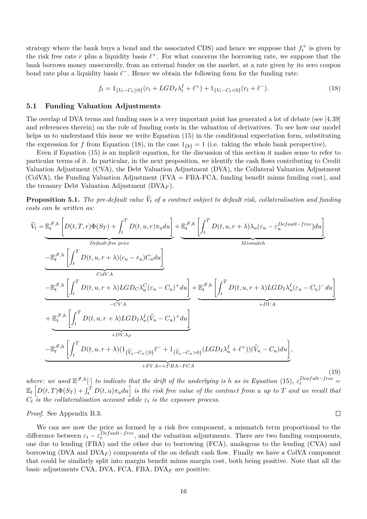strategy where the bank buys a bond and the associated CDS) and hence we suppose that  $f_t^+$  is given by the risk free rate  $r$  plus a liquidity basis  $\ell^+$ . For what concerns the borrowing rate, we suppose that the bank borrows money unsecuredly, from an external funder on the market, at a rate given by its zero coupon bond rate plus a liquidity basis  $\ell^-$ . Hence we obtain the following form for the funding rate:

<span id="page-17-1"></span>
$$
f_t = 1_{\{V_t - C_t \ge 0\}} (r_t + LGD_I \lambda_t^I + \ell^+) + 1_{\{V_t - C_t < 0\}} (r_t + \ell^-). \tag{18}
$$

### <span id="page-17-0"></span>**5.1 Funding Valuation Adjustments**

The overlap of DVA terms and funding ones is a very important point has generated a lot of debate (see [\[4,](#page-30-5)[39\]](#page-32-7) and references therein) on the role of funding costs in the valuation of derivatives. To see how our model helps us to understand this issue we write Equation [\(15\)](#page-15-1) in the conditional expectation form, substituting the expression for *f* from Equation [\(18\)](#page-17-1), in the case  $1_{\{b\}} = 1$  (i.e. taking the whole bank perspective).

Even if Equation [\(15\)](#page-15-1) is an implicit equation, for the discussion of this section it makes sense to refer to particular terms of it. In particular, in the next proposition, we identify the cash flows contributing to Credit Valuation Adjustment (CVA), the Debt Valuation Adjustment (DVA), the Collateral Valuation Adjustment (ColVA), the Funding Valuation Adjustment (FVA = FBA-FCA, funding benefit minus funding cost), and the treasury Debt Valuation Adjustment ( $\text{DVA}_F$ ).

<span id="page-17-3"></span>**Proposition 5.1.** *The pre-default value*  $V_t$  *of a contract subject to default risk, collateralisation and funding costs can be written as:*

<span id="page-17-2"></span>
$$
\widetilde{V}_{t} = \underbrace{\mathbb{E}_{t}^{\mathscr{F},h} \left[ D(t,T,r) \Phi(S_{T}) + \int_{t}^{T} D(t,u,r) \pi_{u} du \right]}_{\text{Default-free price}} + \underbrace{\mathbb{E}_{t}^{\mathscr{F},h} \left[ \int_{t}^{T} D(t,u,r+\lambda) \lambda_{u} (\varepsilon_{u} - \varepsilon_{u}^{Default-free}) du \right]}_{\text{Mismatch}}
$$
\n
$$
- \underbrace{\mathbb{E}_{t}^{\mathscr{F},h} \left[ \int_{t}^{T} D(t,u,r+\lambda) (c_{u} - r_{u}) C_{u} du \right]}_{\text{ColVA}}
$$
\n
$$
- \underbrace{\mathbb{E}_{t}^{\mathscr{F},h} \left[ \int_{t}^{T} D(t,u,r+\lambda) LGD_{C} \lambda_{u}^{C} (\varepsilon_{u} - C_{u})^{+} du \right]}_{\text{-CVA}} + \underbrace{\mathbb{E}_{t}^{\mathscr{F},h} \left[ \int_{t}^{T} D(t,u,r+\lambda) LGD_{I} \lambda_{u}^{I} (\varepsilon_{u} - C_{u})^{-} du \right]}_{\text{+DVA}}
$$
\n
$$
+ \underbrace{\mathbb{E}_{t}^{\mathscr{F},h} \left[ \int_{t}^{T} D(t,u,r+\lambda) LGD_{I} \lambda_{u}^{I} (\widetilde{V}_{u} - C_{u})^{+} du \right]}_{\text{+DVA}_{F}}
$$
\n
$$
- \underbrace{\mathbb{E}_{t}^{\mathscr{F},h} \left[ \int_{t}^{T} D(t,u,r+\lambda) (1_{\{\widetilde{V}_{u} - C_{u} \le 0\}} \ell^{-} + 1_{\{\widetilde{V}_{u} - C_{u} > 0\}} (LGD_{I} \lambda_{u}^{I} + \ell^{+})) (\widetilde{V}_{u} - C_{u}) du \right]}_{\text{+FVA} + FBA - FCA},
$$
\n(19)

*where:* we used  $\mathbb{E}^{\mathscr{F},h}[\cdot]$  *to indicate that the drift of the underlying is h as in Equation* [\(15\)](#page-15-1)*,*  $\varepsilon_t^{Dearfult-free}$  $\mathbb{E}_t\left[ D(t,T)\Phi(S_T)+\int_t^T D(t,u)\pi_udu\right]$  is the risk free value of the contract from u up to T and we recall that  $C_t$  *is the collateralisation account while*  $\varepsilon_t$  *is the exposure process.* 

*Proof.* See Appendix [B.3.](#page-28-1)

$$
\qquad \qquad \Box
$$

We can see now the price as formed by a risk free component, a mismatch term proportional to the difference between  $\varepsilon_t - \varepsilon_t^{Default-free}$  $L_t^{Department-free}$ , and the valuation adjustments. There are two funding components, one due to lending (FBA) and the other due to borrowing (FCA), analogous to the lending (CVA) and borrowing (DVA and  $DVA<sub>F</sub>$ ) components of the on default cash flow. Finally we have a ColVA component that could be similarly split into margin benefit minus margin cost, both being positive. Note that all the basic adjustments CVA, DVA, FCA, FBA, DVA*<sup>F</sup>* are positive.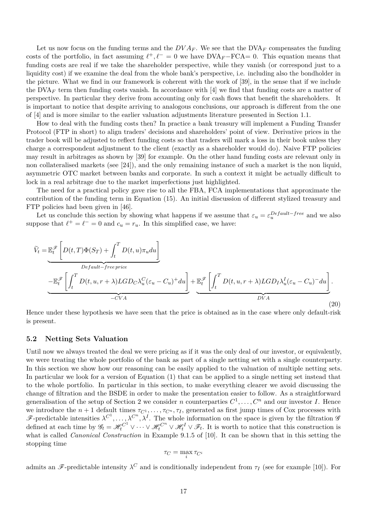Let us now focus on the funding terms and the  $DVA_F$ . We see that the  $DVA_F$  compensates the funding costs of the portfolio, in fact assuming  $\ell^+, \ell^- = 0$  we have DVA<sub>F</sub>−FCA= 0. This equation means that funding costs are real if we take the shareholder perspective, while they vanish (or correspond just to a liquidity cost) if we examine the deal from the whole bank's perspective, i.e. including also the bondholder in the picture. What we find in our framework is coherent with the work of [\[39\]](#page-32-7), in the sense that if we include the DVA<sub>F</sub> term then funding costs vanish. In accordance with [\[4\]](#page-30-5) we find that funding costs are a matter of perspective. In particular they derive from accounting only for cash flows that benefit the shareholders. It is important to notice that despite arriving to analogous conclusions, our approach is different from the one of [\[4\]](#page-30-5) and is more similar to the earlier valuation adjustments literature presented in Section [1.1.](#page-2-0)

How to deal with the funding costs then? In practice a bank treasury will implement a Funding Transfer Protocol (FTP in short) to align traders' decisions and shareholders' point of view. Derivative prices in the trader book will be adjusted to reflect funding costs so that traders will mark a loss in their book unless they charge a correspondent adjustment to the client (exactly as a shareholder would do). Naive FTP policies may result in arbitrages as shown by [\[39\]](#page-32-7) for example. On the other hand funding costs are relevant only in non collateralised markets (see [\[24\]](#page-31-6)), and the only remaining instance of such a market is the non liquid, asymmetric OTC market between banks and corporate. In such a context it might be actually difficult to lock in a real arbitrage due to the market imperfections just highlighted.

The need for a practical policy gave rise to all the FBA, FCA implementations that approximate the contribution of the funding term in Equation [\(15\)](#page-15-1). An initial discussion of different stylized treasury and FTP policies had been given in [\[46\]](#page-32-3).

Let us conclude this section by showing what happens if we assume that  $\varepsilon_u = \varepsilon_u^{Default-free}$  and we also suppose that  $\ell^+ = \ell^- = 0$  and  $c_u = r_u$ . In this simplified case, we have:

$$
\widetilde{V}_t = \underbrace{\mathbb{E}_t^{\mathscr{F}} \left[ D(t,T) \Phi(S_T) + \int_t^T D(t,u) \pi_u du \right]}_{\text{Default-free price}}
$$
\n
$$
- \underbrace{\mathbb{E}_t^{\mathscr{F}} \left[ \int_t^T D(t,u,r+\lambda) LGD_C \lambda_u^C (\varepsilon_u - C_u)^+ du \right]}_{=CVA} + \underbrace{\mathbb{E}_t^{\mathscr{F}} \left[ \int_t^T D(t,u,r+\lambda) LGD_I \lambda_u^I (\varepsilon_u - C_u)^- du \right]}_{\text{DVA}}.
$$
\n(20)

Hence under these hypothesis we have seen that the price is obtained as in the case where only default-risk is present.

#### <span id="page-18-0"></span>**5.2 Netting Sets Valuation**

Until now we always treated the deal we were pricing as if it was the only deal of our investor, or equivalently, we were treating the whole portfolio of the bank as part of a single netting set with a single counterparty. In this section we show how our reasoning can be easily applied to the valuation of multiple netting sets. In particular we look for a version of Equation [\(1\)](#page-9-1) that can be applied to a single netting set instead that to the whole portfolio. In particular in this section, to make everything clearer we avoid discussing the change of filtration and the BSDE in order to make the presentation easier to follow. As a straightforward generalisation of the setup of Section [2](#page-5-1) we consider *n* counterparties  $C^1, \ldots, C^n$  and our investor *I*. Hence we introduce the  $n + 1$  default times  $\tau_{C^1}, \ldots, \tau_{C^n}, \tau_I$ , generated as first jump times of Cox processes with F-predictable intensities  $\lambda^{C^1}, \ldots, \lambda^{C^n}, \lambda^I$ . The whole information on the space is given by the filtration  $\mathscr G$ defined at each time by  $\mathscr{G}_t = \mathscr{H}_t^{C^1} \vee \cdots \vee \mathscr{H}_t^{C^n} \vee \mathscr{H}_t^I \vee \mathscr{F}_t$ . It is worth to notice that this construction is what is called *Canonical Construction* in Example 9.1.5 of [\[10\]](#page-30-0). It can be shown that in this setting the stopping time

$$
\tau_C = \max_i \tau_{C^i}
$$

admits an  $\mathscr{F}$ -predictable intensity  $\lambda^C$  and is conditionally independent from  $\tau_I$  (see for example [\[10\]](#page-30-0)). For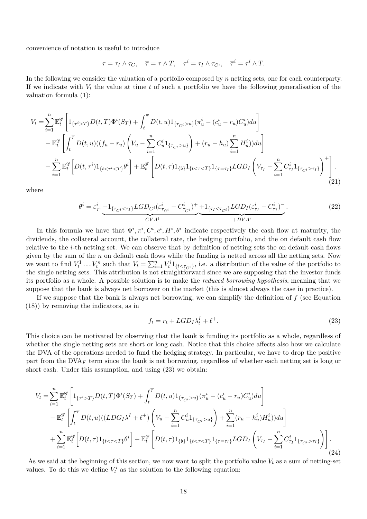convenience of notation is useful to introduce

$$
\tau = \tau_I \wedge \tau_C, \quad \overline{\tau} = \tau \wedge T, \quad \tau^i = \tau_I \wedge \tau_{C^i}, \quad \overline{\tau}^i = \tau^i \wedge T.
$$

In the following we consider the valuation of a portfolio composed by *n* netting sets, one for each counterparty. If we indicate with *V<sup>t</sup>* the value at time *t* of such a portfolio we have the following generalisation of the valuation formula [\(1\)](#page-9-1):

$$
V_{t} = \sum_{i=1}^{n} \mathbb{E}_{t}^{\mathscr{G}} \left[ 1_{\{\tau^{i} > T\}} D(t, T) \Phi^{i}(S_{T}) + \int_{t}^{\overline{\tau}} D(t, u) 1_{\{\tau_{Ci} > u\}} (\pi_{u}^{i} - (c_{u}^{i} - r_{u}) C_{u}^{i}) du \right] - \mathbb{E}_{t}^{\mathscr{G}} \left[ \int_{t}^{\overline{\tau}} D(t, u) ((f_{u} - r_{u}) \left( V_{u} - \sum_{i=1}^{n} C_{u}^{i} 1_{\{\tau_{Ci} > u\}} \right) + (r_{u} - h_{u}) \sum_{i=1}^{n} H_{u}^{i}) du \right] + \sum_{i=1}^{n} \mathbb{E}_{t}^{\mathscr{G}} \left[ D(t, \tau^{i}) 1_{\{t < \tau^{i} < T\}} \theta^{i} \right] + \mathbb{E}_{t}^{\mathscr{G}} \left[ D(t, \tau) 1_{\{b\}} 1_{\{t < \tau < T\}} 1_{\{\tau = \tau_{I}\}} LGD_{I} \left( V_{\tau_{I}} - \sum_{i=1}^{n} C_{\tau_{I}}^{i} 1_{\{\tau_{Ci} > \tau_{I}\}} \right)^{+} \right].
$$
\n(21)

where

<span id="page-19-1"></span>
$$
\theta^{i} = \varepsilon_{\tau^{i}}^{i} \underbrace{-1_{\{\tau_{C^{i}} < \tau_{I}\}} LGD_{C^{i}} (\varepsilon_{\tau_{C^{i}}}^{i} - C_{\tau_{C^{i}}}^{i})^{+}}_{-CVA^{i}} \underbrace{+1_{\{\tau_{I} < \tau_{C^{i}}\}} LGD_{I} (\varepsilon_{\tau_{I}}^{i} - C_{\tau_{I}}^{i})^{-}}_{+DVA^{i}}.
$$
\n
$$
(22)
$$

In this formula we have that  $\Phi^i, \pi^i, C^i, c^i, H^i, \theta^i$  indicate respectively the cash flow at maturity, the dividends, the collateral account, the collateral rate, the hedging portfolio, and the on default cash flow relative to the *i*-th netting set. We can observe that by definition of netting sets the on default cash flows given by the sum of the *n* on default cash flows while the funding is netted across all the netting sets. Now we want to find  $V_t^1 \dots V_t^n$  such that  $V_t = \sum_{i=1}^n V_t^i 1_{\{t \le \tau_{C_i}\}}$ , i.e. a distribution of the value of the portfolio to the single netting sets. This attribution is not straightforward since we are supposing that the investor funds its portfolio as a whole. A possible solution is to make the *reduced borrowing hypothesis*, meaning that we suppose that the bank is always net borrower on the market (this is almost always the case in practice).

If we suppose that the bank is always net borrowing, we can simplify the definition of *f* (see Equation [\(18\)](#page-17-1)) by removing the indicators, as in

<span id="page-19-0"></span>
$$
f_t = r_t + LGD_I \lambda_t^I + \ell^+.
$$
\n<sup>(23)</sup>

This choice can be motivated by observing that the bank is funding its portfolio as a whole, regardless of whether the single netting sets are short or long cash. Notice that this choice affects also how we calculate the DVA of the operations needed to fund the hedging strategy. In particular, we have to drop the positive part from the DVA*<sup>F</sup>* term since the bank is net borrowing, regardless of whether each netting set is long or short cash. Under this assumption, and using [\(23\)](#page-19-0) we obtain:

$$
V_{t} = \sum_{i=1}^{n} \mathbb{E}_{t}^{\mathscr{G}} \left[ 1_{\{\tau^{i} > T\}} D(t, T) \Phi^{i}(S_{T}) + \int_{t}^{\overline{\tau}} D(t, u) 1_{\{\tau_{C^{i}} > u\}} (\pi_{u}^{i} - (c_{u}^{i} - r_{u}) C_{u}^{i}) du \right] - \mathbb{E}_{t}^{\mathscr{G}} \left[ \int_{t}^{\overline{\tau}} D(t, u) ((LDG_{I} \lambda^{I} + \ell^{+}) \left( V_{u} - \sum_{i=1}^{n} C_{u}^{i} 1_{\{\tau_{C^{i}} > u\}} \right) + \sum_{i=1}^{n} (r_{u} - h_{u}^{i}) H_{u}^{i}) du \right] + \sum_{i=1}^{n} \mathbb{E}_{t}^{\mathscr{G}} \left[ D(t, \tau) 1_{\{t < \tau < T\}} \theta^{i} \right] + \mathbb{E}_{t}^{\mathscr{G}} \left[ D(t, \tau) 1_{\{b\}} 1_{\{t < \tau < T\}} 1_{\{\tau = \tau_{I}\}} LGD_{I} \left( V_{\tau_{I}} - \sum_{i=1}^{n} C_{\tau_{I}}^{i} 1_{\{\tau_{C^{i}} > \tau_{I}\}} \right) \right].
$$
\n(24)

As we said at the beginning of this section, we now want to split the portfolio value  $V_t$  as a sum of netting-set values. To do this we define  $V_t^i$  as the solution to the following equation: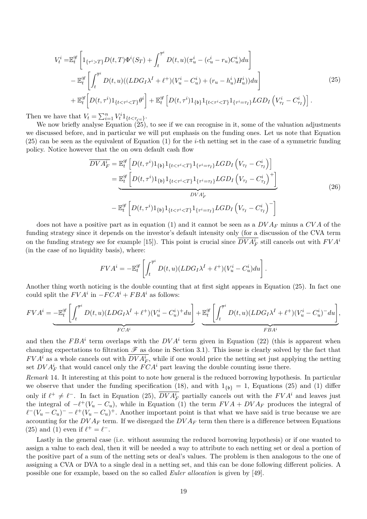<span id="page-20-0"></span>
$$
V_t^i = \mathbb{E}_t^{\mathscr{G}} \left[ 1_{\{\tau^i > T\}} D(t, T) \Phi^i(S_T) + \int_t^{\overline{\tau}^i} D(t, u) (\pi_u^i - (c_u^i - r_u) C_u^i) du \right] - \mathbb{E}_t^{\mathscr{G}} \left[ \int_t^{\overline{\tau}^i} D(t, u) ((LDG_I \lambda^I + \ell^+) (V_u^i - C_u^i) + (r_u - h_u^i) H_u^i)) du \right] + \mathbb{E}_t^{\mathscr{G}} \left[ D(t, \tau^i) 1_{\{t < \tau^i < T\}} \theta^i \right] + \mathbb{E}_t^{\mathscr{G}} \left[ D(t, \tau^i) 1_{\{b\}} 1_{\{t < \tau^i < T\}} 1_{\{\tau^i = \tau_I\}} LGD_I \left( V_{\tau_I}^i - C_{\tau_I}^i \right) \right].
$$
\n(25)

Then we have that  $V_t = \sum_{i=1}^n V_t^i 1_{\{t \le \tau_{C_i} \}}.$ 

We now briefly analyse Equation  $(25)$ , to see if we can recognise in it, some of the valuation adjustments we discussed before, and in particular we will put emphasis on the funding ones. Let us note that Equation [\(25\)](#page-20-0) can be seen as the equivalent of Equation [\(1\)](#page-9-1) for the *i*-th netting set in the case of a symmetric funding policy. Notice however that the on own default cash flow

$$
\overline{DVA_F^i} = \mathbb{E}_t^{\mathscr{G}} \left[ D(t, \tau^i) 1_{\{b\}} 1_{\{t < \tau^i < T\}} 1_{\{\tau^i = \tau_I\}} LGD_I \left( V_{\tau_I} - C_{\tau_I}^i \right) \right]
$$
\n
$$
= \underbrace{\mathbb{E}_t^{\mathscr{G}} \left[ D(t, \tau^i) 1_{\{b\}} 1_{\{t < \tau^i < T\}} 1_{\{\tau^i = \tau_I\}} LGD_I \left( V_{\tau_I} - C_{\tau_I}^i \right)^+ \right]}_{DVA_F^i}
$$
\n
$$
- \mathbb{E}_t^{\mathscr{G}} \left[ D(t, \tau^i) 1_{\{b\}} 1_{\{\tau < \tau^i < T\}} 1_{\{\tau^i = \tau_I\}} LGD_I \left( V_{\tau_I} - C_{\tau_I}^i \right)^- \right] \tag{26}
$$

does not have a positive part as in equation [\(1\)](#page-9-1) and it cannot be seen as a *DV A<sup>F</sup>* minus a *CV A* of the funding strategy since it depends on the investor's default intensity only (for a discussion of the CVA term on the funding strategy see for example [\[15\]](#page-30-13)). This point is crucial since  $DVA_F^i$  still cancels out with  $FVA^i$ (in the case of no liquidity basis), where:

$$
FVA^{i} = -\mathbb{E}_{t}^{\mathscr{G}} \left[ \int_{t}^{\overline{\tau}^{i}} D(t, u)(LDG_{I}\lambda^{I} + \ell^{+})(V_{u}^{i} - C_{u}^{i}) du \right].
$$

Another thing worth noticing is the double counting that at first sight appears in Equation [\(25\)](#page-20-0). In fact one could split the  $FVA^i$  in  $-FCA^i + FBA^i$  as follows:

$$
FVA^{i} = \underbrace{-\mathbb{E}_{t}^{\mathscr{G}}\left[\int_{t}^{\overline{\tau}^{i}} D(t, u)(LDG_{I}\lambda^{I} + \ell^{+})(V_{u}^{i} - C_{u}^{i})^{+} du\right]}_{FCA^{i}} + \underbrace{\mathbb{E}_{t}^{\mathscr{G}}\left[\int_{t}^{\overline{\tau}^{i}} D(t, u)(LDG_{I}\lambda^{I} + \ell^{+})(V_{u}^{i} - C_{u}^{i})^{-} du\right]}_{FBA^{i}},
$$

and then the  $FBA^i$  term overlaps with the  $DVA^i$  term given in Equation [\(22\)](#page-19-1) (this is apparent when changing expectations to filtration  $\mathscr F$  as done in Section [3.1\)](#page-10-2). This issue is clearly solved by the fact that  $FVA^i$  as a whole cancels out with  $DVA^i_F$ , while if one would price the netting set just applying the netting set  $DVA_F^i$  that would cancel only the  $FCA^i$  part leaving the double counting issue there.

*Remark* 14*.* It interesting at this point to note how general is the reduced borrowing hypothesis. In particular we observe that under the funding specification [\(18\)](#page-17-1), and with  $1_{\{b\}} = 1$ , Equations [\(25\)](#page-20-0) and [\(1\)](#page-9-1) differ only if  $\ell^+ \neq \ell^-$ . In fact in Equation [\(25\)](#page-20-0),  $\overline{DVA_F^i}$  partially cancels out with the  $FVA^i$  and leaves just the integral of  $-\ell^+(V_u - C_u)$ , while in Equation [\(1\)](#page-9-1) the term  $FVA + DVA_F$  produces the integral of  $\ell^{-}(V_u - C_u)^{-} - \ell^{+}(V_u - C_u)^{+}$ . Another important point is that what we have said is true because we are accounting for the  $DVA_F$  term. If we disregard the  $DVA_F$  term then there is a difference between Equations [\(25\)](#page-20-0) and [\(1\)](#page-9-1) even if  $\ell^+ = \ell^-$ .

Lastly in the general case (i.e. without assuming the reduced borrowing hypothesis) or if one wanted to assign a value to each deal, then it will be needed a way to attribute to each netting set or deal a portion of the positive part of a sum of the netting sets or deal's values. The problem is then analogous to the one of assigning a CVA or DVA to a single deal in a netting set, and this can be done following different policies. A possible one for example, based on the so called *Euler allocation* is given by [\[49\]](#page-32-12).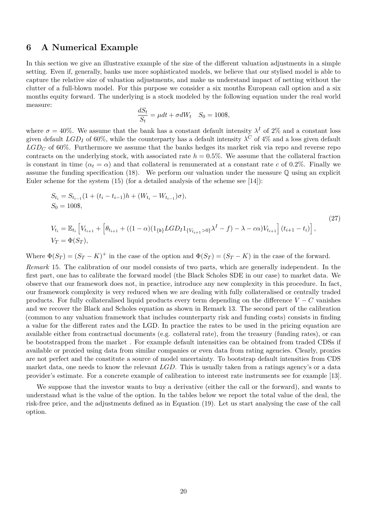## <span id="page-21-0"></span>**6 A Numerical Example**

 $V_T = \Phi(S_T)$ ,

In this section we give an illustrative example of the size of the different valuation adjustments in a simple setting. Even if, generally, banks use more sophisticated models, we believe that our stylised model is able to capture the relative size of valuation adjustments, and make us understand impact of netting without the clutter of a full-blown model. For this purpose we consider a six months European call option and a six months equity forward. The underlying is a stock modeled by the following equation under the real world measure:

$$
\frac{dS_t}{S_t} = \mu dt + \sigma dW_t \quad S_0 = 100\%,
$$

where  $\sigma = 40\%$ . We assume that the bank has a constant default intensity  $\lambda^I$  of 2% and a constant loss given default  $LGD_I$  of 60%, while the counterparty has a default intensity  $\lambda^C$  of 4% and a loss given default  $LGD<sub>C</sub>$  of 60%. Furthermore we assume that the banks hedges its market risk via repo and reverse repo contracts on the underlying stock, with associated rate  $h = 0.5\%$ . We assume that the collateral fraction is constant in time  $(\alpha_t = \alpha)$  and that collateral is remunerated at a constant rate c of 0.2%. Finally we assume the funding specification [\(18\)](#page-17-1). We perform our valuation under the measure Q using an explicit Euler scheme for the system  $(15)$  (for a detailed analysis of the scheme see [\[14\]](#page-30-14)):

$$
S_{t_i} = S_{t_{i-1}}(1 + (t_i - t_{i-1})h + (W_{t_i} - W_{t_{i-1}})\sigma),
$$
  
\n
$$
S_0 = 100\},
$$
  
\n
$$
V_{t_i} = \mathbb{E}_{t_i} \left[ V_{t_{i+1}} + \left[ \theta_{t_{i+1}} + ((1 - \alpha)(1_{\{b\}} LGD_I 1_{\{V_{t_{i+1}} > 0\}} \lambda^I - f) - \lambda - c\alpha) V_{t_{i+1}} \right] (t_{i+1} - t_i) \right],
$$
\n(27)

Where  $\Phi(S_T) = (S_T - K)^+$  in the case of the option and  $\Phi(S_T) = (S_T - K)$  in the case of the forward.

*Remark* 15*.* The calibration of our model consists of two parts, which are generally independent. In the first part, one has to calibrate the forward model (the Black Scholes SDE in our case) to market data. We observe that our framework does not, in practice, introduce any new complexity in this procedure. In fact, our framework complexity is very reduced when we are dealing with fully collateralised or centrally traded products. For fully collateralised liquid products every term depending on the difference  $V - C$  vanishes and we recover the Black and Scholes equation as shown in Remark [13.](#page-16-1) The second part of the calibration (common to any valuation framework that includes counterparty risk and funding costs) consists in finding a value for the different rates and the LGD. In practice the rates to be used in the pricing equation are available either from contractual documents (e.g. collateral rate), from the treasury (funding rates), or can be bootstrapped from the market . For example default intensities can be obtained from traded CDSs if available or proxied using data from similar companies or even data from rating agencies. Clearly, proxies are not perfect and the constitute a source of model uncertainty. To bootstrap default intensities from CDS market data, one needs to know the relevant *LGD*. This is usually taken from a ratings agency's or a data provider's estimate. For a concrete example of calibration to interest rate instruments see for example [\[13\]](#page-30-4).

We suppose that the investor wants to buy a derivative (either the call or the forward), and wants to understand what is the value of the option. In the tables below we report the total value of the deal, the risk-free price, and the adjustments defined as in Equation [\(19\)](#page-17-2). Let us start analysing the case of the call option.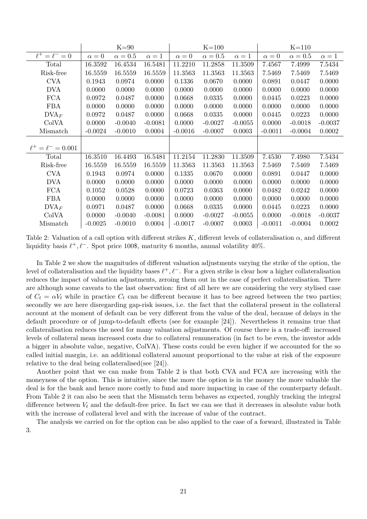|                           |            | $K=90$       |            |              | $K=100$      |            |              | $K=110$      |              |
|---------------------------|------------|--------------|------------|--------------|--------------|------------|--------------|--------------|--------------|
| $\ell^+ = \ell^- = 0$     | $\alpha=0$ | $\alpha=0.5$ | $\alpha=1$ | $\alpha = 0$ | $\alpha=0.5$ | $\alpha=1$ | $\alpha = 0$ | $\alpha=0.5$ | $\alpha = 1$ |
| Total                     | 16.3592    | 16.4534      | 16.5481    | 11.2210      | 11.2858      | 11.3509    | 7.4567       | 7.4999       | 7.5434       |
| Risk-free                 | 16.5559    | 16.5559      | 16.5559    | 11.3563      | 11.3563      | 11.3563    | 7.5469       | 7.5469       | 7.5469       |
| <b>CVA</b>                | 0.1943     | 0.0974       | 0.0000     | 0.1336       | 0.0670       | 0.0000     | 0.0891       | 0.0447       | 0.0000       |
| <b>DVA</b>                | 0.0000     | 0.0000       | 0.0000     | 0.0000       | 0.0000       | 0.0000     | 0.0000       | 0.0000       | 0.0000       |
| <b>FCA</b>                | 0.0972     | 0.0487       | 0.0000     | 0.0668       | 0.0335       | 0.0000     | 0.0445       | 0.0223       | 0.0000       |
| <b>FBA</b>                | 0.0000     | 0.0000       | 0.0000     | 0.0000       | 0.0000       | 0.0000     | 0.0000       | 0.0000       | 0.0000       |
| DVA <sub>F</sub>          | 0.0972     | 0.0487       | 0.0000     | 0.0668       | 0.0335       | 0.0000     | 0.0445       | 0.0223       | 0.0000       |
| ColVA                     | 0.0000     | $-0.0040$    | $-0.0081$  | 0.0000       | $-0.0027$    | $-0.0055$  | 0.0000       | $-0.0018$    | $-0.0037$    |
| Mismatch                  | $-0.0024$  | $-0.0010$    | 0.0004     | $-0.0016$    | $-0.0007$    | 0.0003     | $-0.0011$    | $-0.0004$    | 0.0002       |
|                           |            |              |            |              |              |            |              |              |              |
| $\ell^+ = \ell^- = 0.001$ |            |              |            |              |              |            |              |              |              |
| Total                     | 16.3510    | 16.4493      | 16.5481    | 11.2154      | 11.2830      | 11.3509    | 7.4530       | 7.4980       | 7.5434       |
| Risk-free                 | 16.5559    | 16.5559      | 16.5559    | 11.3563      | 11.3563      | 11.3563    | 7.5469       | 7.5469       | 7.5469       |
| <b>CVA</b>                | 0.1943     | 0.0974       | 0.0000     | 0.1335       | 0.0670       | 0.0000     | 0.0891       | 0.0447       | 0.0000       |
| <b>DVA</b>                | 0.0000     | 0.0000       | 0.0000     | 0.0000       | 0.0000       | 0.0000     | 0.0000       | 0.0000       | 0.0000       |
| <b>FCA</b>                | 0.1052     | 0.0528       | 0.0000     | 0.0723       | 0.0363       | 0.0000     | 0.0482       | 0.0242       | 0.0000       |
| <b>FBA</b>                | 0.0000     | 0.0000       | 0.0000     | 0.0000       | 0.0000       | 0.0000     | 0.0000       | 0.0000       | 0.0000       |
| DVA <sub>F</sub>          | 0.0971     | 0.0487       | 0.0000     | 0.0668       | 0.0335       | 0.0000     | 0.0445       | 0.0223       | 0.0000       |
| ColVA                     | 0.0000     | $-0.0040$    | $-0.0081$  | 0.0000       | $-0.0027$    | $-0.0055$  | 0.0000       | $-0.0018$    | $-0.0037$    |
| Mismatch                  | $-0.0025$  | $-0.0010$    | 0.0004     | $-0.0017$    | $-0.0007$    | 0.0003     | $-0.0011$    | $-0.0004$    | 0.0002       |

<span id="page-22-0"></span>Table 2: Valuation of a call option with different strikes  $K$ , different levels of collateralisation  $\alpha$ , and different liquidity basis  $\ell^+, \ell^-$ . Spot price 100\$, maturity 6 months, annual volatility 40%.

In Table [2](#page-22-0) we show the magnitudes of different valuation adjustments varying the strike of the option, the level of collateralisation and the liquidity bases  $\ell^+, \ell^-$ . For a given strike is clear how a higher collateralisation reduces the impact of valuation adjustments, zeroing them out in the case of perfect collateralisation. There are although some caveats to the last observation: first of all here we are considering the very stylised case of  $C_t = \alpha V_t$  while in practice  $C_t$  can be different because it has to bee agreed between the two parties; secondly we are here disregarding gap-risk issues, i.e. the fact that the collateral present in the collateral account at the moment of default can be very different from the value of the deal, because of delays in the default procedure or of jump-to-default effects (see for example [\[24\]](#page-31-6)). Nevertheless it remains true that collateralisation reduces the need for many valuation adjustments. Of course there is a trade-off: increased levels of collateral mean increased costs due to collateral remuneration (in fact to be even, the investor adds a bigger in absolute value, negative, ColVA). These costs could be even higher if we accounted for the so called initial margin, i.e. an additional collateral amount proportional to the value at risk of the exposure relative to the deal being collateralised(see [\[24\]](#page-31-6)).

Another point that we can make from Table [2](#page-22-0) is that both CVA and FCA are increasing with the moneyness of the option. This is intuitive, since the more the option is in the money the more valuable the deal is for the bank and hence more costly to fund and more impacting in case of the counterparty default. From Table [2](#page-22-0) it can also be seen that the Mismatch term behaves as expected, roughly tracking the integral difference between  $V_t$  and the default-free price. In fact we can see that it decreases in absolute value both with the increase of collateral level and with the increase of value of the contract.

The analysis we carried on for the option can be also applied to the case of a forward, illustrated in Table [3.](#page-23-0)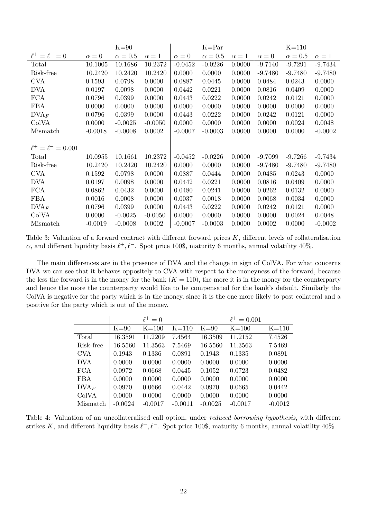|                           |              | $K=90$         |            |              | $K = Par$    |            |              | $K=110$      |              |
|---------------------------|--------------|----------------|------------|--------------|--------------|------------|--------------|--------------|--------------|
| $\ell^+ = \ell^- = 0$     | $\alpha = 0$ | $\alpha = 0.5$ | $\alpha=1$ | $\alpha = 0$ | $\alpha=0.5$ | $\alpha=1$ | $\alpha = 0$ | $\alpha=0.5$ | $\alpha = 1$ |
| Total                     | 10.1005      | 10.1686        | 10.2372    | $-0.0452$    | $-0.0226$    | 0.0000     | $-9.7140$    | $-9.7291$    | $-9.7434$    |
| Risk-free                 | 10.2420      | 10.2420        | 10.2420    | 0.0000       | 0.0000       | 0.0000     | $-9.7480$    | $-9.7480$    | $-9.7480$    |
| <b>CVA</b>                | 0.1593       | 0.0798         | 0.0000     | 0.0887       | 0.0445       | 0.0000     | 0.0484       | 0.0243       | 0.0000       |
| <b>DVA</b>                | 0.0197       | 0.0098         | 0.0000     | 0.0442       | 0.0221       | 0.0000     | 0.0816       | 0.0409       | 0.0000       |
| <b>FCA</b>                | 0.0796       | 0.0399         | 0.0000     | 0.0443       | 0.0222       | 0.0000     | 0.0242       | 0.0121       | 0.0000       |
| <b>FBA</b>                | 0.0000       | 0.0000         | 0.0000     | 0.0000       | 0.0000       | 0.0000     | 0.0000       | 0.0000       | 0.0000       |
| DVA <sub>F</sub>          | 0.0796       | 0.0399         | 0.0000     | 0.0443       | 0.0222       | 0.0000     | 0.0242       | 0.0121       | 0.0000       |
| ColVA                     | 0.0000       | $-0.0025$      | $-0.0050$  | 0.0000       | 0.0000       | 0.0000     | 0.0000       | 0.0024       | 0.0048       |
| Mismatch                  | $-0.0018$    | $-0.0008$      | 0.0002     | $-0.0007$    | $-0.0003$    | 0.0000     | 0.0000       | 0.0000       | $-0.0002$    |
|                           |              |                |            |              |              |            |              |              |              |
| $\ell^+ = \ell^- = 0.001$ |              |                |            |              |              |            |              |              |              |
| Total                     | 10.0955      | 10.1661        | 10.2372    | $-0.0452$    | $-0.0226$    | 0.0000     | $-9.7099$    | $-9.7266$    | $-9.7434$    |
| Risk-free                 | 10.2420      | 10.2420        | 10.2420    | 0.0000       | 0.0000       | 0.0000     | $-9.7480$    | $-9.7480$    | $-9.7480$    |
| <b>CVA</b>                | 0.1592       | 0.0798         | 0.0000     | 0.0887       | 0.0444       | 0.0000     | 0.0485       | 0.0243       | 0.0000       |
| <b>DVA</b>                | 0.0197       | 0.0098         | 0.0000     | 0.0442       | 0.0221       | 0.0000     | 0.0816       | 0.0409       | 0.0000       |
| <b>FCA</b>                | 0.0862       | 0.0432         | 0.0000     | 0.0480       | 0.0241       | 0.0000     | 0.0262       | 0.0132       | 0.0000       |
| <b>FBA</b>                | 0.0016       | 0.0008         | 0.0000     | 0.0037       | 0.0018       | 0.0000     | 0.0068       | 0.0034       | 0.0000       |
| DVA <sub>F</sub>          | 0.0796       | 0.0399         | 0.0000     | 0.0443       | 0.0222       | 0.0000     | 0.0242       | 0.0121       | 0.0000       |
| ColVA                     | 0.0000       | $-0.0025$      | $-0.0050$  | 0.0000       | 0.0000       | 0.0000     | 0.0000       | 0.0024       | 0.0048       |
| Mismatch                  | $-0.0019$    | $-0.0008$      | 0.0002     | $-0.0007$    | $-0.0003$    | 0.0000     | 0.0002       | 0.0000       | $-0.0002$    |

<span id="page-23-0"></span>Table 3: Valuation of a forward contract with different forward prices *K*, different levels of collateralisation  $\alpha$ , and different liquidity basis  $\ell^+, \ell^-$ . Spot price 100\$, maturity 6 months, annual volatility 40%.

The main differences are in the presence of DVA and the change in sign of ColVA. For what concerns DVA we can see that it behaves oppositely to CVA with respect to the moneyness of the forward, because the less the forward is in the money for the bank  $(K = 110)$ , the more it is in the money for the counterparty and hence the more the counterparty would like to be compensated for the bank's default. Similarly the ColVA is negative for the party which is in the money, since it is the one more likely to post collateral and a positive for the party which is out of the money.

|                |           | $\ell^+ = 0$ |           |           | $\ell^+ = 0.001$ |           |
|----------------|-----------|--------------|-----------|-----------|------------------|-----------|
|                | $K = 90$  | $K = 100$    | $K = 110$ | $K = 90$  | $K = 100$        | $K=110$   |
| Total          | 16.3591   | 11.2209      | 7.4564    | 16.3509   | 11.2152          | 7.4526    |
| Risk-free      | 16.5560   | 11.3563      | 7.5469    | 16.5560   | 11.3563          | 7.5469    |
| <b>CVA</b>     | 0.1943    | 0.1336       | 0.0891    | 0.1943    | 0.1335           | 0.0891    |
| <b>DVA</b>     | 0.0000    | 0.0000       | 0.0000    | 0.0000    | 0.0000           | 0.0000    |
| FCA            | 0.0972    | 0.0668       | 0.0445    | 0.1052    | 0.0723           | 0.0482    |
| <b>FBA</b>     | 0.0000    | 0.0000       | 0.0000    | 0.0000    | 0.0000           | 0.0000    |
| $\text{DVA}_F$ | 0.0970    | 0.0666       | 0.0442    | 0.0970    | 0.0665           | 0.0442    |
| ColVA          | 0.0000    | 0.0000       | 0.0000    | 0.0000    | 0.0000           | 0.0000    |
| Mismatch       | $-0.0024$ | $-0.0017$    | $-0.0011$ | $-0.0025$ | $-0.0017$        | $-0.0012$ |

<span id="page-23-1"></span>Table 4: Valuation of an uncollateralised call option, under *reduced borrowing hypothesis*, with different strikes K, and different liquidity basis  $\ell^+$ ,  $\ell^-$ . Spot price 100\$, maturity 6 months, annual volatility 40%.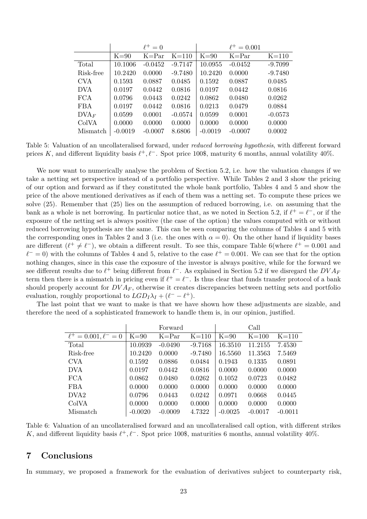|                  |           | $\ell^+ = 0$ |           |           | $\ell^+ = 0.001$ |           |
|------------------|-----------|--------------|-----------|-----------|------------------|-----------|
|                  | $K=90$    | $K = Par$    | $K=110$   | $K = 90$  | $K = Par$        | $K=110$   |
| Total            | 10.1006   | $-0.0452$    | $-9.7147$ | 10.0955   | $-0.0452$        | $-9.7099$ |
| Risk-free        | 10.2420   | 0.0000       | $-9.7480$ | 10.2420   | 0.0000           | $-9.7480$ |
| <b>CVA</b>       | 0.1593    | 0.0887       | 0.0485    | 0.1592    | 0.0887           | 0.0485    |
| <b>DVA</b>       | 0.0197    | 0.0442       | 0.0816    | 0.0197    | 0.0442           | 0.0816    |
| <b>FCA</b>       | 0.0796    | 0.0443       | 0.0242    | 0.0862    | 0.0480           | 0.0262    |
| <b>FBA</b>       | 0.0197    | 0.0442       | 0.0816    | 0.0213    | 0.0479           | 0.0884    |
| DVA <sub>F</sub> | 0.0599    | 0.0001       | $-0.0574$ | 0.0599    | 0.0001           | $-0.0573$ |
| ColVA            | 0.0000    | 0.0000       | 0.0000    | 0.0000    | 0.0000           | 0.0000    |
| Mismatch         | $-0.0019$ | $-0.0007$    | 8.6806    | $-0.0019$ | $-0.0007$        | 0.0002    |

<span id="page-24-1"></span>Table 5: Valuation of an uncollateralised forward, under *reduced borrowing hypothesis*, with different forward prices *K*, and different liquidity basis  $\ell^+, \ell^-$ . Spot price 100\$, maturity 6 months, annual volatility 40%.

We now want to numerically analyse the problem of Section [5.2,](#page-18-0) i.e. how the valuation changes if we take a netting set perspective instead of a portfolio perspective. While Tables [2](#page-22-0) and [3](#page-23-0) show the pricing of our option and forward as if they constituted the whole bank portfolio, Tables [4](#page-23-1) and [5](#page-24-1) and show the price of the above mentioned derivatives as if each of them was a netting set. To compute these prices we solve [\(25\)](#page-20-0). Remember that [\(25\)](#page-20-0) lies on the assumption of reduced borrowing, i.e. on assuming that the bank as a whole is net borrowing. In particular notice that, as we noted in Section [5.2,](#page-18-0) if  $\ell^+ = \ell^-$ , or if the exposure of the netting set is always positive (the case of the option) the values computed with or without reduced borrowing hypothesis are the same. This can be seen comparing the columns of Tables [4](#page-23-1) and [5](#page-24-1) with the corresponding ones in Tables [2](#page-22-0) and [3](#page-23-0) (i.e. the ones with  $\alpha = 0$ ). On the other hand if liquidity bases are different  $(\ell^+ \neq \ell^-)$ , we obtain a different result. To see this, compare Table [6\(](#page-24-2)where  $\ell^+ = 0.001$  and  $\ell^- = 0$ ) with the columns of Tables [4](#page-23-1) and [5,](#page-24-1) relative to the case  $\ell^+ = 0.001$ . We can see that for the option nothing changes, since in this case the exposure of the investor is always positive, while for the forward we see different results due to  $\ell^+$  being different from  $\ell^-$ . As explained in Section [5.2](#page-18-0) if we disregard the  $DVA_F$ term then there is a mismatch in pricing even if  $\ell^+ = \ell^-$ . Is thus clear that funds transfer protocol of a bank should properly account for  $DVA<sub>F</sub>$ , otherwise it creates discrepancies between netting sets and portfolio evaluation, roughly proportional to  $LGD_I\lambda_I + (\ell^- - \ell^+)$ .

The last point that we want to make is that we have shown how these adjustments are sizable, and therefore the need of a sophisticated framework to handle them is, in our opinion, justified.

|                                  |           | Forward   |           |           | Call      |           |
|----------------------------------|-----------|-----------|-----------|-----------|-----------|-----------|
| $\ell^+ = 0.001, \ell^-$<br>$=0$ | $K=90$    | $K = Par$ | $K=110$   | $K = 90$  | $K = 100$ | $K=110$   |
| Total                            | 10.0939   | $-0.0490$ | $-9.7168$ | 16.3510   | 11.2155   | 7.4530    |
| Risk-free                        | 10.2420   | 0.0000    | $-9.7480$ | 16.5560   | 11.3563   | 7.5469    |
| <b>CVA</b>                       | 0.1592    | 0.0886    | 0.0484    | 0.1943    | 0.1335    | 0.0891    |
| <b>DVA</b>                       | 0.0197    | 0.0442    | 0.0816    | 0.0000    | 0.0000    | 0.0000    |
| <b>FCA</b>                       | 0.0862    | 0.0480    | 0.0262    | 0.1052    | 0.0723    | 0.0482    |
| <b>FBA</b>                       | 0.0000    | 0.0000    | 0.0000    | 0.0000    | 0.0000    | 0.0000    |
| DVA <sub>2</sub>                 | 0.0796    | 0.0443    | 0.0242    | 0.0971    | 0.0668    | 0.0445    |
| ColVA                            | 0.0000    | 0.0000    | 0.0000    | 0.0000    | 0.0000    | 0.0000    |
| Mismatch                         | $-0.0020$ | $-0.0009$ | 4.7322    | $-0.0025$ | $-0.0017$ | $-0.0011$ |

<span id="page-24-2"></span>Table 6: Valuation of an uncollateralised forward and an uncollateralised call option, with different strikes *K*, and different liquidity basis  $\ell^+$ ,  $\ell^-$ . Spot price 100\$, maturities 6 months, annual volatility 40%.

## <span id="page-24-0"></span>**7 Conclusions**

In summary, we proposed a framework for the evaluation of derivatives subject to counterparty risk,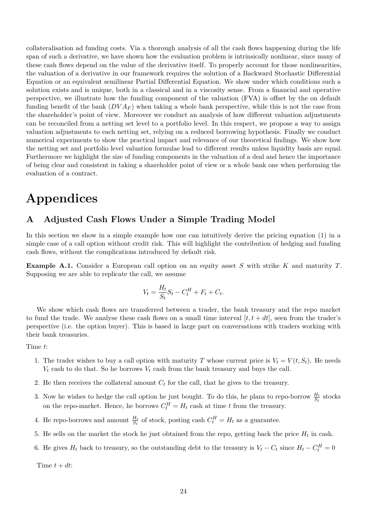collateralisation ad funding costs. Via a thorough analysis of all the cash flows happening during the life span of such a derivative, we have shown how the evaluation problem is intrinsically nonlinear, since many of these cash flows depend on the value of the derivative itself. To properly account for those nonlinearities, the valuation of a derivative in our framework requires the solution of a Backward Stochastic Differential Equation or an equivalent semilinear Partial Differential Equation. We show under which conditions such a solution exists and is unique, both in a classical and in a viscosity sense. From a financial and operative perspective, we illustrate how the funding component of the valuation (FVA) is offset by the on default funding benefit of the bank  $(DVA_F)$  when taking a whole bank perspective, while this is not the case from the shareholder's point of view. Moreover we conduct an analysis of how different valuation adjustments can be reconciled from a netting set level to a portfolio level. In this respect, we propose a way to assign valuation adjustments to each netting set, relying on a reduced borrowing hypothesis. Finally we conduct numerical experiments to show the practical impact and relevance of our theoretical findings. We show how the netting set and portfolio level valuation formulae lead to different results unless liquidity basis are equal. Furthermore we highlight the size of funding components in the valuation of a deal and hence the importance of being clear and consistent in taking a shareholder point of view or a whole bank one when performing the evaluation of a contract.

# **Appendices**

## <span id="page-25-0"></span>**A Adjusted Cash Flows Under a Simple Trading Model**

In this section we show in a simple example how one can intuitively derive the pricing equation [\(1\)](#page-9-1) in a simple case of a call option without credit risk. This will highlight the contribution of hedging and funding cash flows, without the complications introduced by default risk.

**Example A.1.** Consider a European call option on an equity asset *S* with strike *K* and maturity *T*. Supposing we are able to replicate the call, we assume

$$
V_t = \frac{H_t}{S_t}S_t - C_t^H + F_t + C_t.
$$

We show which cash flows are transferred between a trader, the bank treasury and the repo market to fund the trade. We analyse these cash flows on a small time interval  $[t, t + dt]$ , seen from the trader's perspective (i.e. the option buyer). This is based in large part on conversations with traders working with their bank treasuries.

Time *t*:

- 1. The trader wishes to buy a call option with maturity *T* whose current price is  $V_t = V(t, S_t)$ . He needs  $V_t$  cash to do that. So he borrows  $V_t$  cash from the bank treasury and buys the call.
- 2. He then receives the collateral amount  $C<sub>t</sub>$  for the call, that he gives to the treasury.
- 3. Now he wishes to hedge the call option he just bought. To do this, he plans to repo-borrow  $\frac{H_t}{S_t}$  stocks on the repo-market. Hence, he borrows  $C_t^H = H_t$  cash at time *t* from the treasury.
- 4. He repo-borrows and amount  $\frac{H_t}{S_t}$  of stock, posting cash  $C_t^H = H_t$  as a guarantee.
- 5. He sells on the market the stock he just obtained from the repo, getting back the price  $H_t$  in cash.
- 6. He gives  $H_t$  back to treasury, so the outstanding debt to the treasury is  $V_t C_t$  since  $H_t C_t^H = 0$

Time  $t + dt$ :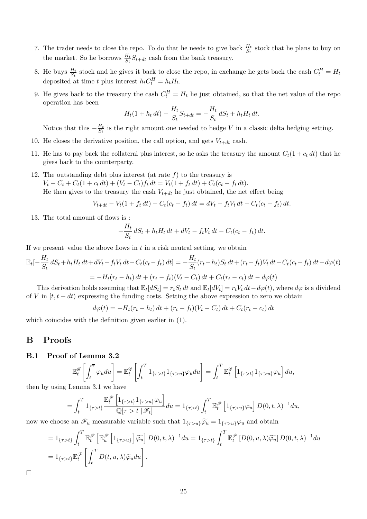- 7. The trader needs to close the repo. To do that he needs to give back  $\frac{H_t}{S_t}$  stock that he plans to buy on the market. So he borrows  $\frac{H_t}{S_t} S_{t+dt}$  cash from the bank treasury.
- 8. He buys  $\frac{H_t}{S_t}$  stock and he gives it back to close the repo, in exchange he gets back the cash  $C_t^H = H_t$ deposited at time *t* plus interest  $h_t C_t^H = h_t H_t$ .
- 9. He gives back to the treasury the cash  $C_t^H = H_t$  he just obtained, so that the net value of the repo operation has been

$$
H_t(1 + h_t dt) - \frac{H_t}{S_t} S_{t+dt} = -\frac{H_t}{S_t} dS_t + h_t H_t dt.
$$

Notice that this  $-\frac{H_t}{S_t}$  $\frac{H_t}{S_t}$  is the right amount one needed to hedge *V* in a classic delta hedging setting.

- 10. He closes the derivative position, the call option, and gets  $V_{t+dt}$  cash.
- 11. He has to pay back the collateral plus interest, so he asks the treasury the amount  $C_t(1 + c_t dt)$  that he gives back to the counterparty.
- 12. The outstanding debt plus interest (at rate  $f$ ) to the treasury is  $V_t - C_t + C_t(1 + c_t dt) + (V_t - C_t)f_t dt = V_t(1 + f_t dt) + C_t(c_t - f_t dt).$ He then gives to the treasury the cash  $V_{t+dt}$  he just obtained, the net effect being

$$
V_{t+dt} - V_t(1 + f_t dt) - C_t(c_t - f_t) dt = dV_t - f_t V_t dt - C_t(c_t - f_t) dt.
$$

13. The total amount of flows is :

$$
-\frac{H_t}{S_t} dS_t + h_t H_t dt + dV_t - f_t V_t dt - C_t (c_t - f_t) dt.
$$

If we present–value the above flows in *t* in a risk neutral setting, we obtain

$$
\mathbb{E}_{t}[-\frac{H_{t}}{S_{t}} dS_{t} + h_{t}H_{t} dt + dV_{t} - f_{t}V_{t} dt - C_{t}(c_{t} - f_{t}) dt] = -\frac{H_{t}}{S_{t}}(r_{t} - h_{t})S_{t} dt + (r_{t} - f_{t})V_{t} dt - C_{t}(c_{t} - f_{t}) dt - d\varphi(t)
$$
  
= 
$$
-H_{t}(r_{t} - h_{t}) dt + (r_{t} - f_{t})(V_{t} - C_{t}) dt + C_{t}(r_{t} - c_{t}) dt - d\varphi(t)
$$

This derivation holds assuming that  $\mathbb{E}_t[dS_t] = r_tS_t dt$  and  $\mathbb{E}_t[dV_t] = r_tV_t dt - d\varphi(t)$ , where  $d\varphi$  is a dividend of *V* in  $[t, t + dt)$  expressing the funding costs. Setting the above expression to zero we obtain

 $d\varphi(t) = -H_t(r_t - h_t) dt + (r_t - f_t)(V_t - C_t) dt + C_t(r_t - c_t) dt$ 

which coincides with the definition given earlier in [\(1\)](#page-9-1).

## **B Proofs**

#### <span id="page-26-0"></span>**B.1 Proof of Lemma [3.2](#page-10-0)**

$$
\mathbb{E}_t^{\mathscr{G}}\left[\int_t^{\overline{\tau}} \varphi_u du\right] = \mathbb{E}_t^{\mathscr{G}}\left[\int_t^T 1_{\{\tau > t\}} 1_{\{\tau > u\}} \varphi_u du\right] = \int_t^T \mathbb{E}_t^{\mathscr{G}}\left[1_{\{\tau > t\}} 1_{\{\tau > u\}} \varphi_u\right] du,
$$

then by using Lemma [3.1](#page-10-3) we have

$$
= \int_t^T 1_{\{\tau > t\}} \frac{\mathbb{E}_t^{\mathscr{F}} \left[1_{\{\tau > t\}} 1_{\{\tau > u\}} \varphi_u\right]}{\mathbb{Q}[\tau > t \mid \mathscr{F}_t]} du = 1_{\{\tau > t\}} \int_t^T \mathbb{E}_t^{\mathscr{F}} \left[1_{\{\tau > u\}} \varphi_u\right] D(0, t, \lambda)^{-1} du,
$$

now we choose an  $\mathscr{F}_u$  measurable variable such that  $1_{\{\tau>u\}}\widetilde{\varphi}_u = 1_{\{\tau>u\}}\varphi_u$  and obtain

$$
= 1_{\{\tau > t\}} \int_{t}^{T} \mathbb{E}_{t}^{\mathscr{F}} \left[ \mathbb{E}_{u}^{\mathscr{F}} \left[ 1_{\{\tau > u\}} \right] \widetilde{\varphi}_{u} \right] D(0, t, \lambda)^{-1} du = 1_{\{\tau > t\}} \int_{t}^{T} \mathbb{E}_{t}^{\mathscr{F}} \left[ D(0, u, \lambda) \widetilde{\varphi}_{u} \right] D(0, t, \lambda)^{-1} du
$$
  

$$
= 1_{\{\tau > t\}} \mathbb{E}_{t}^{\mathscr{F}} \left[ \int_{t}^{T} D(t, u, \lambda) \widetilde{\varphi}_{u} du \right].
$$

 $\Box$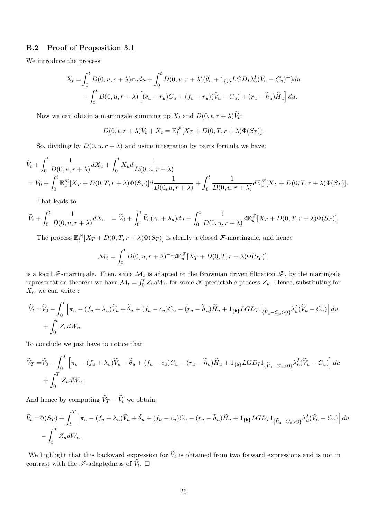#### <span id="page-27-0"></span>**B.2 Proof of Proposition [3.1](#page-11-3)**

We introduce the process:

$$
X_t = \int_0^t D(0, u, r + \lambda) \pi_u du + \int_0^t D(0, u, r + \lambda) (\tilde{\theta}_u + 1_{\{b\}} LGD_I \lambda_u^I (\tilde{V}_u - C_u)^+) du
$$
  
- 
$$
\int_0^t D(0, u, r + \lambda) \left[ (c_u - r_u)C_u + (f_u - r_u) (\tilde{V}_u - C_u) + (r_u - \tilde{h}_u) \tilde{H}_u \right] du.
$$

Now we can obtain a martingale summing up  $X_t$  and  $D(0, t, r + \lambda)V_t$ :

$$
D(0, t, r + \lambda)\widetilde{V}_t + X_t = \mathbb{E}_t^{\mathscr{F}}[X_T + D(0, T, r + \lambda)\Phi(S_T)].
$$

So, dividing by  $D(0, u, r + \lambda)$  and using integration by parts formula we have:

$$
\tilde{V}_t + \int_0^t \frac{1}{D(0, u, r + \lambda)} dX_u + \int_0^t X_u d \frac{1}{D(0, u, r + \lambda)} \n= \tilde{V}_0 + \int_0^t \mathbb{E}_u^{\mathscr{F}} [X_T + D(0, T, r + \lambda) \Phi(S_T)] d \frac{1}{D(0, u, r + \lambda)} + \int_0^t \frac{1}{D(0, u, r + \lambda)} d\mathbb{E}_u^{\mathscr{F}} [X_T + D(0, T, r + \lambda) \Phi(S_T)].
$$

That leads to:

$$
\widetilde{V}_t + \int_0^t \frac{1}{D(0, u, r + \lambda)} dX_u = \widetilde{V}_0 + \int_0^t \widetilde{V}_u(r_u + \lambda_u) du + \int_0^t \frac{1}{D(0, u, r + \lambda)} d\mathbb{E}_u^{\mathscr{F}}[X_T + D(0, T, r + \lambda) \Phi(S_T)].
$$

The process  $\mathbb{E}_{t}^{\mathscr{F}}[X_T + D(0,T,r+\lambda)\Phi(S_T)]$  is clearly a closed F-martingale, and hence

$$
\mathcal{M}_t = \int_0^t D(0, u, r + \lambda)^{-1} d\mathbb{E}_u^{\mathscr{F}} [X_T + D(0, T, r + \lambda) \Phi(S_T)].
$$

is a local  $\mathscr{F}\text{-martingale}$ . Then, since  $\mathcal{M}_t$  is adapted to the Brownian driven filtration  $\mathscr{F}$ , by the martingale representation theorem we have  $\mathcal{M}_t = \int_0^t Z_u dW_u$  for some  $\mathscr{F}\text{-predictable process } Z_u$ . Hence, substituting for  $X_t$ , we can write :

$$
\widetilde{V}_t = \widetilde{V}_0 - \int_0^t \left[ \pi_u - (f_u + \lambda_u) \widetilde{V}_u + \widetilde{\theta}_u + (f_u - c_u) C_u - (r_u - \widetilde{h}_u) \widetilde{H}_u + 1_{\{\mathfrak{b}\}} LGD_I 1_{\{\widetilde{V}_u - C_u > 0\}} \lambda_u^I (\widetilde{V}_u - C_u) \right] du
$$
  
+ 
$$
\int_0^t Z_u dW_u.
$$

To conclude we just have to notice that

$$
\widetilde{V}_T = \widetilde{V}_0 - \int_0^T \left[ \pi_u - (f_u + \lambda_u) \widetilde{V}_u + \widetilde{\theta}_u + (f_u - c_u) C_u - (r_u - \widetilde{h}_u) \widetilde{H}_u + 1_{\{b\}} LGD_I 1_{\{\widetilde{V}_u - C_u > 0\}} \lambda_u^I (\widetilde{V}_u - C_u) \right] du
$$
  
+ 
$$
\int_0^T Z_u dW_u.
$$

And hence by computing  $V_T - V_t$  we obtain:

$$
\widetilde{V}_t = \Phi(S_T) + \int_t^T \left[ \pi_u - (f_u + \lambda_u)\widetilde{V}_u + \widetilde{\theta}_u + (f_u - c_u)C_u - (r_u - \widetilde{h}_u)\widetilde{H}_u + 1_{\{\mathfrak{b}\}} LGD_I 1_{\{\widetilde{V}_u - C_u > 0\}} \lambda_u^I (\widetilde{V}_u - C_u) \right] du
$$

$$
- \int_t^T Z_u dW_u.
$$

We highlight that this backward expression for  $V_t$  is obtained from two forward expressions and is not in contrast with the  $\mathscr{F}\text{-adaptedness}$  of  $\widetilde{V}_t$ .  $\Box$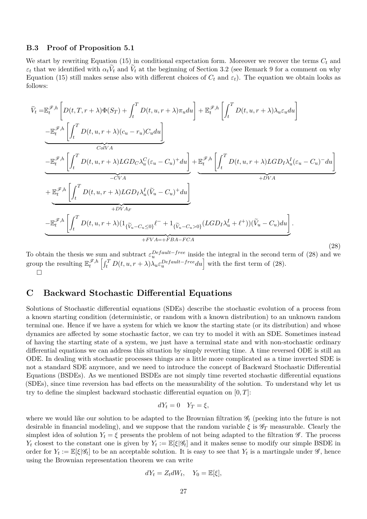#### <span id="page-28-1"></span>**B.3 Proof of Proposition [5.1](#page-17-3)**

We start by rewriting Equation [\(15\)](#page-15-1) in conditional expectation form. Moreover we recover the terms *C<sup>t</sup>* and  $\varepsilon_t$  that we identified with  $\alpha_t V_t$  and  $V_t$  at the beginning of Section [3.2](#page-11-4) (see Remark [9](#page-12-1) for a comment on why Equation [\(15\)](#page-15-1) still makes sense also with different choices of  $C_t$  and  $\varepsilon_t$ ). The equation we obtain looks as follows:

<span id="page-28-2"></span>
$$
\widetilde{V}_{t} = \mathbb{E}_{t}^{\mathscr{F},h} \left[ D(t,T,r+\lambda) \Phi(S_{T}) + \int_{t}^{T} D(t,u,r+\lambda) \pi_{u} du \right] + \mathbb{E}_{t}^{\mathscr{F},h} \left[ \int_{t}^{T} D(t,u,r+\lambda) \lambda_{u} \varepsilon_{u} du \right]
$$
\n
$$
- \mathbb{E}_{t}^{\mathscr{F},h} \left[ \int_{t}^{T} D(t,u,r+\lambda) (c_{u} - r_{u}) C_{u} du \right]
$$
\n
$$
- \mathbb{E}_{t}^{\mathscr{F},h} \left[ \int_{t}^{T} D(t,u,r+\lambda) LGD_{C} \lambda_{u}^{C} (\varepsilon_{u} - C_{u})^{+} du \right] + \mathbb{E}_{t}^{\mathscr{F},h} \left[ \int_{t}^{T} D(t,u,r+\lambda) LGD_{I} \lambda_{u}^{I} (\varepsilon_{u} - C_{u})^{-} du \right]
$$
\n
$$
- \overline{CVA}
$$
\n
$$
+ \mathbb{E}_{t}^{\mathscr{F},h} \left[ \int_{t}^{T} D(t,u,r+\lambda) LGD_{I} \lambda_{u}^{I} (\tilde{V}_{u} - C_{u})^{+} du \right]
$$
\n
$$
+ \overline{DVA_{F}}
$$
\n
$$
- \mathbb{E}_{t}^{\mathscr{F},h} \left[ \int_{t}^{T} D(t,u,r+\lambda) (1_{\{\tilde{V}_{u} - C_{u} \le 0\}} \ell^{-} + 1_{\{\tilde{V}_{u} - C_{u} > 0\}} (LGD_{I} \lambda_{u}^{I} + \ell^{+})) (\tilde{V}_{u} - C_{u}) du \right].
$$
\n
$$
+ \overline{FVA_{F}}
$$
\n
$$
(28)
$$

To obtain the thesis we sum and subtract  $\varepsilon_u^{Default-free}$  inside the integral in the second term of [\(28\)](#page-28-2) and we group the resulting  $\mathbb{E}_{t}^{\mathscr{F},h} \left[ \int_{t}^{T} D(t, u, r + \lambda) \lambda_{u} \varepsilon_{u}^{Default-free} du \right]$  with the first term of [\(28\)](#page-28-2).  $\Box$ 

## <span id="page-28-0"></span>**C Backward Stochastic Differential Equations**

Solutions of Stochastic differential equations (SDEs) describe the stochastic evolution of a process from a known starting condition (deterministic, or random with a known distribution) to an unknown random terminal one. Hence if we have a system for which we know the starting state (or its distribution) and whose dynamics are affected by some stochastic factor, we can try to model it with an SDE. Sometimes instead of having the starting state of a system, we just have a terminal state and with non-stochastic ordinary differential equations we can address this situation by simply reverting time. A time reversed ODE is still an ODE. In dealing with stochastic processes things are a little more complicated as a time inverted SDE is not a standard SDE anymore, and we need to introduce the concept of Backward Stochastic Differential Equations (BSDEs). As we mentioned BSDEs are not simply time reverted stochastic differential equations (SDEs), since time reversion has bad effects on the measurability of the solution. To understand why let us try to define the simplest backward stochastic differential equation on [0*, T*]:

$$
dY_t = 0 \quad Y_T = \xi,
$$

where we would like our solution to be adapted to the Brownian filtration G*<sup>t</sup>* (peeking into the future is not desirable in financial modeling), and we suppose that the random variable  $\xi$  is  $\mathscr{G}_T$  measurable. Clearly the simplest idea of solution  $Y_t = \xi$  presents the problem of not being adapted to the filtration  $\mathscr{G}$ . The process *Y*<sub>t</sub> closest to the constant one is given by  $Y_t := \mathbb{E}[\xi|\mathscr{G}_t]$  and it makes sense to modify our simple BSDE in order for  $Y_t := \mathbb{E}[\xi|\mathscr{G}_t]$  to be an acceptable solution. It is easy to see that  $Y_t$  is a martingale under  $\mathscr{G}$ , hence using the Brownian representation theorem we can write

$$
dY_t = Z_t dW_t, \quad Y_0 = \mathbb{E}[\xi],
$$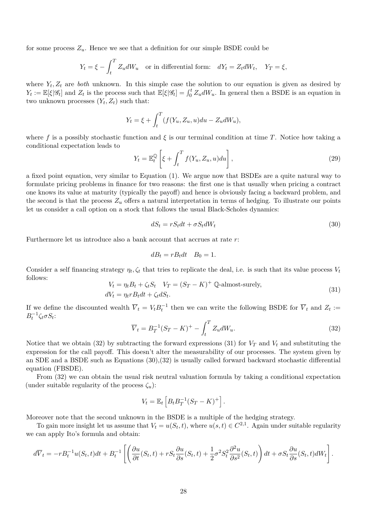for some process  $Z_u$ . Hence we see that a definition for our simple BSDE could be

$$
Y_t = \xi - \int_t^T Z_u dW_u
$$
 or in differential form:  $dY_t = Z_t dW_t$ ,  $Y_T = \xi$ ,

where  $Y_t, Z_t$  are *both* unknown. In this simple case the solution to our equation is given as desired by  $Y_t := \mathbb{E}[\xi|\mathscr{G}_t]$  and  $Z_t$  is the process such that  $\mathbb{E}[\xi|\mathscr{G}_t] = \int_0^t Z_u dW_u$ . In general then a BSDE is an equation in two unknown processes  $(Y_t, Z_t)$  such that:

$$
Y_t = \xi + \int_t^T (f(Y_u, Z_u, u) du - Z_u dW_u),
$$

where f is a possibly stochastic function and  $\xi$  is our terminal condition at time T. Notice how taking a conditional expectation leads to

$$
Y_t = \mathbb{E}_t^{\mathbb{Q}} \left[ \xi + \int_t^T f(Y_u, Z_u, u) du \right],
$$
\n(29)

a fixed point equation, very similar to Equation [\(1\)](#page-9-1). We argue now that BSDEs are a quite natural way to formulate pricing problems in finance for two reasons: the first one is that usually when pricing a contract one knows its value at maturity (typically the payoff) and hence is obviously facing a backward problem, and the second is that the process  $Z_u$  offers a natural interpretation in terms of hedging. To illustrate our points let us consider a call option on a stock that follows the usual Black-Scholes dynamics:

<span id="page-29-2"></span>
$$
dS_t = rS_t dt + \sigma S_t dW_t \tag{30}
$$

Furthermore let us introduce also a bank account that accrues at rate *r*:

$$
dB_t = rB_t dt \quad B_0 = 1.
$$

Consider a self financing strategy  $\eta_t, \zeta_t$  that tries to replicate the deal, i.e. is such that its value process  $V_t$ follows:

<span id="page-29-1"></span>
$$
V_t = \eta_t B_t + \zeta_t S_t \quad V_T = (S_T - K)^+ \quad \text{Q-almost-surely},
$$
  
\n
$$
dV_t = \eta_t r B_t dt + \zeta_t dS_t.
$$
\n(31)

If we define the discounted wealth  $\overline{V}_t = V_t B_t^{-1}$  then we can write the following BSDE for  $\overline{V}_t$  and  $Z_t :=$  $B_t^{-1} \zeta_t \sigma S_t$ :

<span id="page-29-0"></span>
$$
\overline{V}_t = B_T^{-1} (S_T - K)^+ - \int_t^T Z_u dW_u.
$$
\n(32)

Notice that we obtain [\(32\)](#page-29-0) by subtracting the forward expressions [\(31\)](#page-29-1) for  $V_T$  and  $V_t$  and substituting the expression for the call payoff. This doesn't alter the measurability of our processes. The system given by an SDE and a BSDE such as Equations [\(30\)](#page-29-2),[\(32\)](#page-29-0) is usually called forward backward stochastic differential equation (FBSDE).

From [\(32\)](#page-29-0) we can obtain the usual risk neutral valuation formula by taking a conditional expectation (under suitable regularity of the process  $\zeta_u$ ):

$$
V_t = \mathbb{E}_t \left[ B_t B_T^{-1} (S_T - K)^+ \right].
$$

Moreover note that the second unknown in the BSDE is a multiple of the hedging strategy.

To gain more insight let us assume that  $V_t = u(S_t, t)$ , where  $u(s, t) \in C^{2,1}$ . Again under suitable regularity we can apply Ito's formula and obtain:

$$
d\overline{V}_t = -rB_t^{-1}u(S_t, t)dt + B_t^{-1}\left[\left(\frac{\partial u}{\partial t}(S_t, t) + rS_t\frac{\partial u}{\partial s}(S_t, t) + \frac{1}{2}\sigma^2S_t^2\frac{\partial^2 u}{\partial s^2}(S_t, t)\right)dt + \sigma S_t\frac{\partial u}{\partial s}(S_t, t)dW_t\right].
$$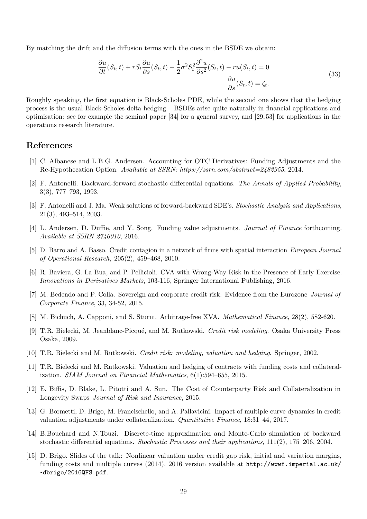By matching the drift and the diffusion terms with the ones in the BSDE we obtain:

$$
\frac{\partial u}{\partial t}(S_t, t) + rS_t \frac{\partial u}{\partial s}(S_t, t) + \frac{1}{2} \sigma^2 S_t^2 \frac{\partial^2 u}{\partial s^2}(S_t, t) - ru(S_t, t) = 0
$$
\n
$$
\frac{\partial u}{\partial s}(S_t, t) = \zeta_t.
$$
\n(33)

Roughly speaking, the first equation is Black-Scholes PDE, while the second one shows that the hedging process is the usual Black-Scholes delta hedging. BSDEs arise quite naturally in financial applications and optimisation: see for example the seminal paper [\[34\]](#page-32-13) for a general survey, and [\[29,](#page-31-16) [53\]](#page-32-14) for applications in the operations research literature.

## **References**

- <span id="page-30-6"></span>[1] C. Albanese and L.B.G. Andersen. Accounting for OTC Derivatives: Funding Adjustments and the Re-Hypothecation Option. *Available at SSRN: https://ssrn.com/abstract=2482955*, 2014.
- <span id="page-30-12"></span>[2] F. Antonelli. Backward-forward stochastic differential equations. *The Annals of Applied Probability*, 3(3), 777–793, 1993.
- <span id="page-30-11"></span>[3] F. Antonelli and J. Ma. Weak solutions of forward-backward SDE's. *Stochastic Analysis and Applications*, 21(3), 493–514, 2003.
- <span id="page-30-5"></span>[4] L. Andersen, D. Duffie, and Y. Song. Funding value adjustments. *Journal of Finance* forthcoming. *Available at SSRN 2746010*, 2016.
- <span id="page-30-1"></span>[5] D. Barro and A. Basso. Credit contagion in a network of firms with spatial interaction *European Journal of Operational Research*, 205(2), 459–468, 2010.
- <span id="page-30-2"></span>[6] R. Baviera, G. La Bua, and P. Pellicioli. CVA with Wrong-Way Risk in the Presence of Early Exercise. *Innovations in Derivatives Markets*, 103-116, Springer International Publishing, 2016.
- <span id="page-30-7"></span>[7] M. Bedendo and P. Colla. Sovereign and corporate credit risk: Evidence from the Eurozone *Journal of Corporate Finance*, 33, 34-52, 2015.
- <span id="page-30-10"></span>[8] M. Bichuch, A. Capponi, and S. Sturm. Arbitrage-free XVA. *Mathematical Finance*, 28(2), 582-620.
- <span id="page-30-9"></span>[9] T.R. Bielecki, M. Jeanblanc-Picqué, and M. Rutkowski. *Credit risk modeling*. Osaka University Press Osaka, 2009.
- <span id="page-30-0"></span>[10] T.R. Bielecki and M. Rutkowski. *Credit risk: modeling, valuation and hedging*. Springer, 2002.
- <span id="page-30-8"></span>[11] T.R. Bielecki and M. Rutkowski. Valuation and hedging of contracts with funding costs and collateralization. *SIAM Journal on Financial Mathematics*, 6(1):594–655, 2015.
- <span id="page-30-3"></span>[12] E. Biffis, D. Blake, L. Pitotti and A. Sun. The Cost of Counterparty Risk and Collateralization in Longevity Swaps *Journal of Risk and Insurance*, 2015.
- <span id="page-30-4"></span>[13] G. Bormetti, D. Brigo, M. Francischello, and A. Pallavicini. Impact of multiple curve dynamics in credit valuation adjustments under collateralization. *Quantitative Finance*, 18:31–44, 2017.
- <span id="page-30-14"></span>[14] B.Bouchard and N.Touzi. Discrete-time approximation and Monte-Carlo simulation of backward stochastic differential equations. *Stochastic Processes and their applications*, 111(2), 175–206, 2004.
- <span id="page-30-13"></span>[15] D. Brigo. Slides of the talk: Nonlinear valuation under credit gap risk, initial and variation margins, funding costs and multiple curves (2014). 2016 version available at [http://wwwf.imperial.ac.uk/](http://wwwf.imperial.ac.uk/~dbrigo/2016QFS.pdf) [~dbrigo/2016QFS.pdf](http://wwwf.imperial.ac.uk/~dbrigo/2016QFS.pdf).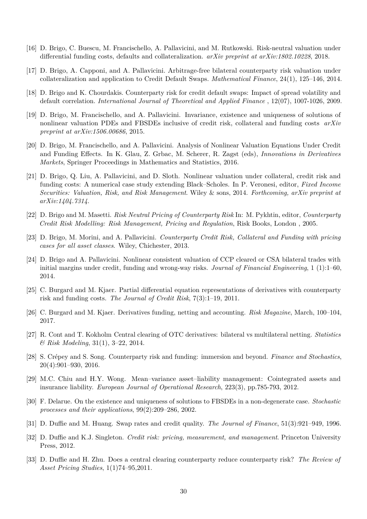- <span id="page-31-14"></span>[16] D. Brigo, C. Buescu, M. Francischello, A. Pallavicini, and M. Rutkowski. Risk-neutral valuation under differential funding costs, defaults and collateralization. *arXiv preprint at arXiv:1802.10228*, 2018.
- <span id="page-31-7"></span>[17] D. Brigo, A. Capponi, and A. Pallavicini. Arbitrage-free bilateral counterparty risk valuation under collateralization and application to Credit Default Swaps. *Mathematical Finance*, 24(1), 125–146, 2014.
- <span id="page-31-8"></span>[18] D. Brigo and K. Chourdakis. Counterparty risk for credit default swaps: Impact of spread volatility and default correlation. *International Journal of Theoretical and Applied Finance* , 12(07), 1007-1026, 2009.
- [19] D. Brigo, M. Francischello, and A. Pallavicini. Invariance, existence and uniqueness of solutions of nonlinear valuation PDEs and FBSDEs inclusive of credit risk, collateral and funding costs *arXiv preprint at arXiv:1506.00686*, 2015.
- <span id="page-31-0"></span>[20] D. Brigo, M. Francischello, and A. Pallavicini. Analysis of Nonlinear Valuation Equations Under Credit and Funding Effects. In K. Glau, Z. Grbac, M. Scherer, R. Zagst (eds), *Innovations in Derivatives Markets*, Springer Proceedings in Mathematics and Statistics, 2016.
- <span id="page-31-9"></span>[21] D. Brigo, Q. Liu, A. Pallavicini, and D. Sloth. Nonlinear valuation under collateral, credit risk and funding costs: A numerical case study extending Black–Scholes. In P. Veronesi, editor, *Fixed Income Securities: Valuation, Risk, and Risk Management*. Wiley & sons, 2014. *Forthcoming, arXiv preprint at arXiv:1404.7314*.
- <span id="page-31-2"></span>[22] D. Brigo and M. Masetti. *Risk Neutral Pricing of Counterparty Risk* In: M. Pykhtin, editor, *Counterparty Credit Risk Modelling: Risk Management, Pricing and Regulation*, Risk Books, London , 2005.
- <span id="page-31-3"></span>[23] D. Brigo, M. Morini, and A. Pallavicini. *Counterparty Credit Risk, Collateral and Funding with pricing cases for all asset classes*. Wiley, Chichester, 2013.
- <span id="page-31-6"></span>[24] D. Brigo and A. Pallavicini. Nonlinear consistent valuation of CCP cleared or CSA bilateral trades with initial margins under credit, funding and wrong-way risks. *Journal of Financial Engineering*, 1 (1):1–60, 2014.
- <span id="page-31-10"></span>[25] C. Burgard and M. Kjaer. Partial differential equation representations of derivatives with counterparty risk and funding costs. *The Journal of Credit Risk*, 7(3):1–19, 2011.
- <span id="page-31-12"></span>[26] C. Burgard and M. Kjaer. Derivatives funding, netting and accounting. *Risk Magazine*, March, 100–104, 2017.
- <span id="page-31-4"></span>[27] R. Cont and T. Kokholm Central clearing of OTC derivatives: bilateral vs multilateral netting. *Statistics & Risk Modeling*, 31(1), 3–22, 2014.
- <span id="page-31-11"></span>[28] S. Crépey and S. Song. Counterparty risk and funding: immersion and beyond. *Finance and Stochastics*, 20(4):901–930, 2016.
- <span id="page-31-16"></span>[29] M.C. Chiu and H.Y. Wong. Mean–variance asset–liability management: Cointegrated assets and insurance liability. *European Journal of Operational Research*, 223(3), pp.785-793, 2012.
- <span id="page-31-15"></span>[30] F. Delarue. On the existence and uniqueness of solutions to FBSDEs in a non-degenerate case. *Stochastic processes and their applications*, 99(2):209–286, 2002.
- <span id="page-31-13"></span>[31] D. Duffie and M. Huang. Swap rates and credit quality. *The Journal of Finance*, 51(3):921–949, 1996.
- <span id="page-31-1"></span>[32] D. Duffie and K.J. Singleton. *Credit risk: pricing, measurement, and management*. Princeton University Press, 2012.
- <span id="page-31-5"></span>[33] D. Duffie and H. Zhu. Does a central clearing counterparty reduce counterparty risk? *The Review of Asset Pricing Studies*, 1(1)74–95,2011.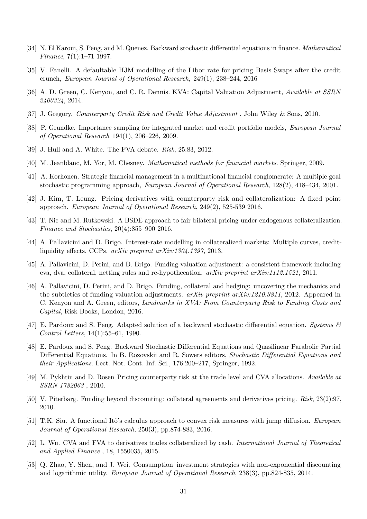- <span id="page-32-13"></span>[34] N. El Karoui, S. Peng, and M. Quenez. Backward stochastic differential equations in finance. *Mathematical Finance*, 7(1):1–71 1997.
- <span id="page-32-4"></span>[35] V. Fanelli. A defaultable HJM modelling of the Libor rate for pricing Basis Swaps after the credit crunch, *European Journal of Operational Research*, 249(1), 238–244, 2016
- <span id="page-32-9"></span>[36] A. D. Green, C. Kenyon, and C. R. Dennis. KVA: Capital Valuation Adjustment, *Available at SSRN 2400324*, 2014.
- <span id="page-32-0"></span>[37] J. Gregory. *Counterparty Credit Risk and Credit Value Adjustment* . John Wiley & Sons, 2010.
- <span id="page-32-1"></span>[38] P. Grundke. Importance sampling for integrated market and credit portfolio models, *European Journal of Operational Research* 194(1), 206–226, 2009.
- <span id="page-32-7"></span>[39] J. Hull and A. White. The FVA debate. *Risk*, 25:83, 2012.
- <span id="page-32-10"></span>[40] M. Jeanblanc, M. Yor, M. Chesney. *Mathematical methods for financial markets*. Springer, 2009.
- [41] A. Korhonen. Strategic financial management in a multinational financial conglomerate: A multiple goal stochastic programming approach, *European Journal of Operational Research*, 128(2), 418–434, 2001.
- <span id="page-32-8"></span>[42] J. Kim, T. Leung. Pricing derivatives with counterparty risk and collateralization: A fixed point approach. *European Journal of Operational Research*, 249(2), 525-539 2016.
- <span id="page-32-6"></span>[43] T. Nie and M. Rutkowski. A BSDE approach to fair bilateral pricing under endogenous collateralization. *Finance and Stochastics*, 20(4):855–900 2016.
- [44] A. Pallavicini and D. Brigo. Interest-rate modelling in collateralized markets: Multiple curves, creditliquidity effects, CCPs. *arXiv preprint arXiv:1304.1397*, 2013.
- <span id="page-32-2"></span>[45] A. Pallavicini, D. Perini, and D. Brigo. Funding valuation adjustment: a consistent framework including cva, dva, collateral, netting rules and re-hypothecation. *arXiv preprint arXiv:1112.1521*, 2011.
- <span id="page-32-3"></span>[46] A. Pallavicini, D. Perini, and D. Brigo. Funding, collateral and hedging: uncovering the mechanics and the subtleties of funding valuation adjustments. *arXiv preprint arXiv:1210.3811*, 2012. Appeared in C. Kenyon and A. Green, editors, *Landmarks in XVA: From Counterparty Risk to Funding Costs and Capital*, Risk Books, London, 2016.
- [47] E. Pardoux and S. Peng. Adapted solution of a backward stochastic differential equation. *Systems & Control Letters*, 14(1):55–61, 1990.
- <span id="page-32-11"></span>[48] E. Pardoux and S. Peng. Backward Stochastic Differential Equations and Quasilinear Parabolic Partial Differential Equations. In B. Rozovskii and R. Sowers editors, *Stochastic Differential Equations and their Applications*. Lect. Not. Cont. Inf. Sci., 176:200–217, Springer, 1992.
- <span id="page-32-12"></span>[49] M. Pykhtin and D. Rosen Pricing counterparty risk at the trade level and CVA allocations. *Available at SSRN 1782063* , 2010.
- <span id="page-32-5"></span>[50] V. Piterbarg. Funding beyond discounting: collateral agreements and derivatives pricing. *Risk*, 23(2):97, 2010.
- [51] T.K. Siu. A functional Itô's calculus approach to convex risk measures with jump diffusion. *European Journal of Operational Research*, 250(3), pp.874-883, 2016.
- [52] L. Wu. CVA and FVA to derivatives trades collateralized by cash. *International Journal of Theoretical and Applied Finance* , 18, 1550035, 2015.
- <span id="page-32-14"></span>[53] Q. Zhao, Y. Shen, and J. Wei. Consumption–investment strategies with non-exponential discounting and logarithmic utility. *European Journal of Operational Research*, 238(3), pp.824-835, 2014.